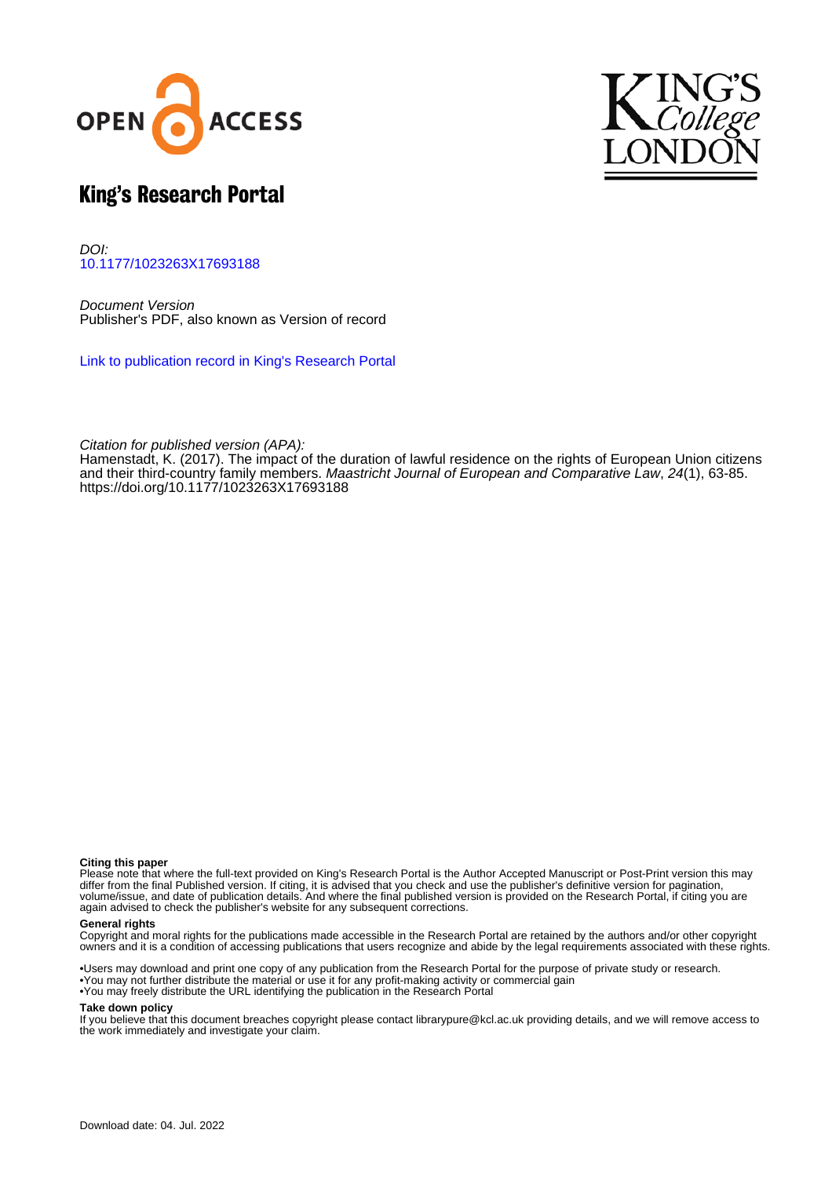



# King's Research Portal

DOI: [10.1177/1023263X17693188](https://doi.org/10.1177/1023263X17693188)

Document Version Publisher's PDF, also known as Version of record

[Link to publication record in King's Research Portal](https://kclpure.kcl.ac.uk/portal/en/publications/the-impact-of-the-duration-of-lawful-residence-on-the-rights-of-european-union-citizens-and-their-thirdcountry-family-members(0ae2a552-7cb7-417c-846c-79cd3713d7fd).html)

Citation for published version (APA):

Hamenstadt, K. (2017). [The impact of the duration of lawful residence on the rights of European Union citizens](https://kclpure.kcl.ac.uk/portal/en/publications/the-impact-of-the-duration-of-lawful-residence-on-the-rights-of-european-union-citizens-and-their-thirdcountry-family-members(0ae2a552-7cb7-417c-846c-79cd3713d7fd).html) [and their third-country family members.](https://kclpure.kcl.ac.uk/portal/en/publications/the-impact-of-the-duration-of-lawful-residence-on-the-rights-of-european-union-citizens-and-their-thirdcountry-family-members(0ae2a552-7cb7-417c-846c-79cd3713d7fd).html) [Maastricht Journal of European and Comparative Law](https://kclpure.kcl.ac.uk/portal/en/journals/maastricht-journal-of-european-and-comparative-law(4c54c9fe-7a8e-4417-b59d-3ae38cc12c41).html), 24(1), 63-85. <https://doi.org/10.1177/1023263X17693188>

#### **Citing this paper**

Please note that where the full-text provided on King's Research Portal is the Author Accepted Manuscript or Post-Print version this may differ from the final Published version. If citing, it is advised that you check and use the publisher's definitive version for pagination, volume/issue, and date of publication details. And where the final published version is provided on the Research Portal, if citing you are again advised to check the publisher's website for any subsequent corrections.

#### **General rights**

Copyright and moral rights for the publications made accessible in the Research Portal are retained by the authors and/or other copyright owners and it is a condition of accessing publications that users recognize and abide by the legal requirements associated with these rights.

•Users may download and print one copy of any publication from the Research Portal for the purpose of private study or research. •You may not further distribute the material or use it for any profit-making activity or commercial gain •You may freely distribute the URL identifying the publication in the Research Portal

#### **Take down policy**

If you believe that this document breaches copyright please contact librarypure@kcl.ac.uk providing details, and we will remove access to the work immediately and investigate your claim.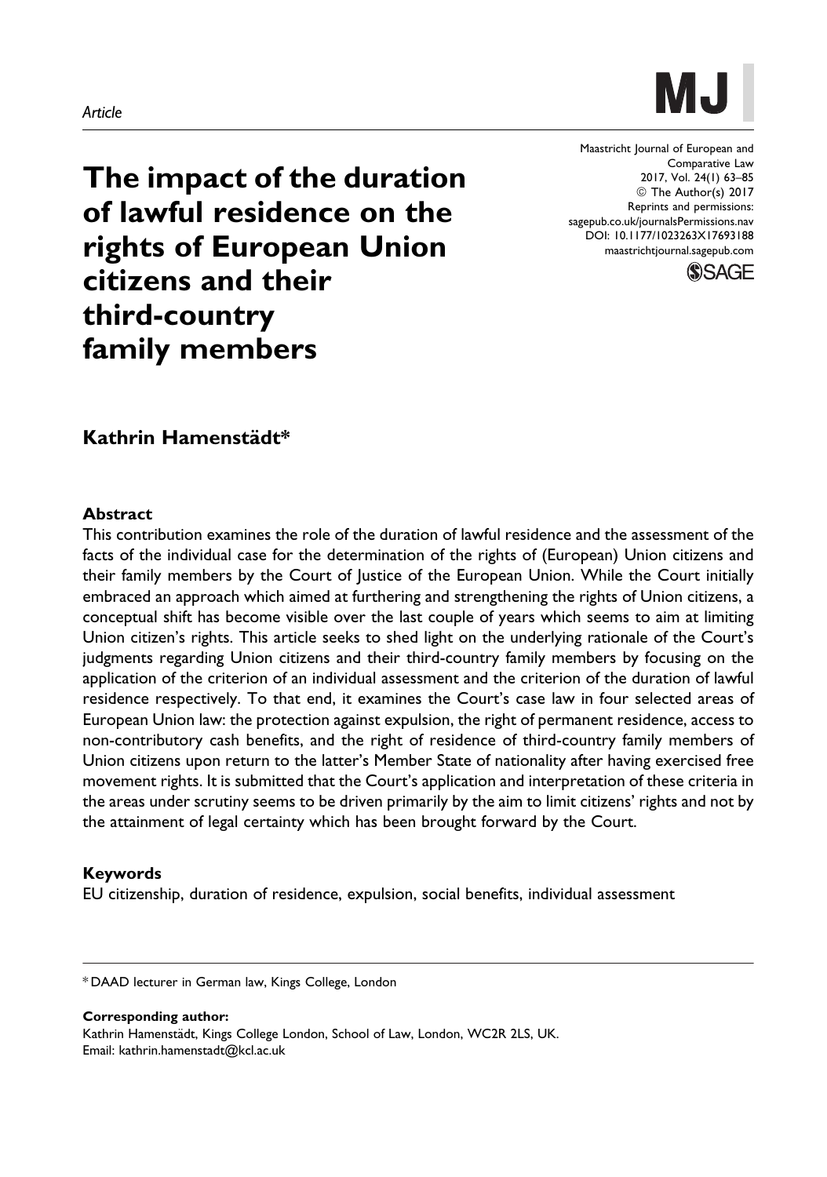# **MJ**

Maastricht Journal of European and Comparative Law 2017, Vol. 24(1) 63–85 © The Author(s) 2017 Reprints and permissions: [sagepub.co.uk/journalsPermissions.nav](https://uk.sagepub.com/en-gb/journals-permissions) [DOI: 10.1177/1023263X17693188](https://doi.org/10.1177/1023263X17693188) [maastrichtjournal.sagepub.com](http://maastrichtjournal.sagepub.com)



The impact of the duration of lawful residence on the rights of European Union citizens and their third-country family members

# Kathrin Hamenstädt\*

#### Abstract

This contribution examines the role of the duration of lawful residence and the assessment of the facts of the individual case for the determination of the rights of (European) Union citizens and their family members by the Court of Justice of the European Union. While the Court initially embraced an approach which aimed at furthering and strengthening the rights of Union citizens, a conceptual shift has become visible over the last couple of years which seems to aim at limiting Union citizen's rights. This article seeks to shed light on the underlying rationale of the Court's judgments regarding Union citizens and their third-country family members by focusing on the application of the criterion of an individual assessment and the criterion of the duration of lawful residence respectively. To that end, it examines the Court's case law in four selected areas of European Union law: the protection against expulsion, the right of permanent residence, access to non-contributory cash benefits, and the right of residence of third-country family members of Union citizens upon return to the latter's Member State of nationality after having exercised free movement rights. It is submitted that the Court's application and interpretation of these criteria in the areas under scrutiny seems to be driven primarily by the aim to limit citizens' rights and not by the attainment of legal certainty which has been brought forward by the Court.

### Keywords

EU citizenship, duration of residence, expulsion, social benefits, individual assessment

Corresponding author: Kathrin Hamenstädt, Kings College London, School of Law, London, WC2R 2LS, UK. Email: kathrin.hamenstadt@kcl.ac.uk

<sup>\*</sup> DAAD lecturer in German law, Kings College, London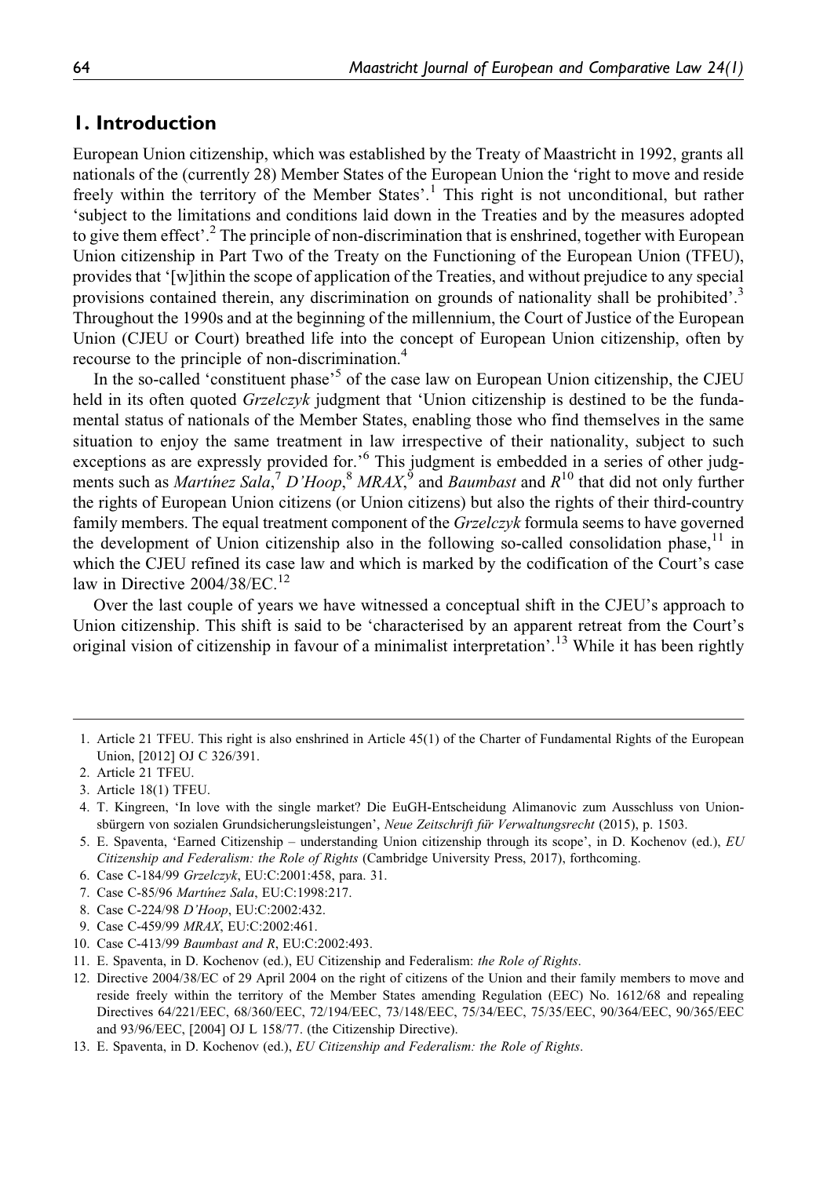# 1. Introduction

European Union citizenship, which was established by the Treaty of Maastricht in 1992, grants all nationals of the (currently 28) Member States of the European Union the 'right to move and reside freely within the territory of the Member States'.<sup>1</sup> This right is not unconditional, but rather 'subject to the limitations and conditions laid down in the Treaties and by the measures adopted to give them effect'.<sup>2</sup> The principle of non-discrimination that is enshrined, together with European Union citizenship in Part Two of the Treaty on the Functioning of the European Union (TFEU), provides that '[w]ithin the scope of application of the Treaties, and without prejudice to any special provisions contained therein, any discrimination on grounds of nationality shall be prohibited'.<sup>3</sup> Throughout the 1990s and at the beginning of the millennium, the Court of Justice of the European Union (CJEU or Court) breathed life into the concept of European Union citizenship, often by recourse to the principle of non-discrimination.<sup>4</sup>

In the so-called 'constituent phase'<sup>5</sup> of the case law on European Union citizenship, the CJEU held in its often quoted *Grzelczyk* judgment that 'Union citizenship is destined to be the fundamental status of nationals of the Member States, enabling those who find themselves in the same situation to enjoy the same treatment in law irrespective of their nationality, subject to such exceptions as are expressly provided for.<sup>'6</sup> This judgment is embedded in a series of other judgments such as *Martinez Sala*,<sup>7</sup> D'Hoop,<sup>8</sup> MRAX,<sup>9</sup> and *Baumbast* and  $R^{10}$  that did not only further the rights of European Union citizens (or Union citizens) but also the rights of their third-country family members. The equal treatment component of the Grzelczyk formula seems to have governed the development of Union citizenship also in the following so-called consolidation phase,  $11$  in which the CJEU refined its case law and which is marked by the codification of the Court's case law in Directive 2004/38/EC.<sup>12</sup>

Over the last couple of years we have witnessed a conceptual shift in the CJEU's approach to Union citizenship. This shift is said to be 'characterised by an apparent retreat from the Court's original vision of citizenship in favour of a minimalist interpretation'.<sup>13</sup> While it has been rightly

- 6. Case C-184/99 Grzelczyk, EU:C:2001:458, para. 31.
- 7. Case C-85/96 Martínez Sala, EU:C:1998:217.
- 8. Case C-224/98 D'Hoop, EU:C:2002:432.
- 9. Case C-459/99 MRAX, EU:C:2002:461.
- 10. Case C-413/99 Baumbast and R, EU:C:2002:493.
- 11. E. Spaventa, in D. Kochenov (ed.), EU Citizenship and Federalism: the Role of Rights.
- 12. Directive 2004/38/EC of 29 April 2004 on the right of citizens of the Union and their family members to move and reside freely within the territory of the Member States amending Regulation (EEC) No. 1612/68 and repealing Directives 64/221/EEC, 68/360/EEC, 72/194/EEC, 73/148/EEC, 75/34/EEC, 75/35/EEC, 90/364/EEC, 90/365/EEC and 93/96/EEC, [2004] OJ L 158/77. (the Citizenship Directive).
- 13. E. Spaventa, in D. Kochenov (ed.), EU Citizenship and Federalism: the Role of Rights.

<sup>1.</sup> Article 21 TFEU. This right is also enshrined in Article 45(1) of the Charter of Fundamental Rights of the European Union, [2012] OJ C 326/391.

<sup>2.</sup> Article 21 TFEU.

<sup>3.</sup> Article 18(1) TFEU.

<sup>4.</sup> T. Kingreen, 'In love with the single market? Die EuGH-Entscheidung Alimanovic zum Ausschluss von Unionsbürgern von sozialen Grundsicherungsleistungen', Neue Zeitschrift für Verwaltungsrecht (2015), p. 1503.

<sup>5.</sup> E. Spaventa, 'Earned Citizenship – understanding Union citizenship through its scope', in D. Kochenov (ed.), EU Citizenship and Federalism: the Role of Rights (Cambridge University Press, 2017), forthcoming.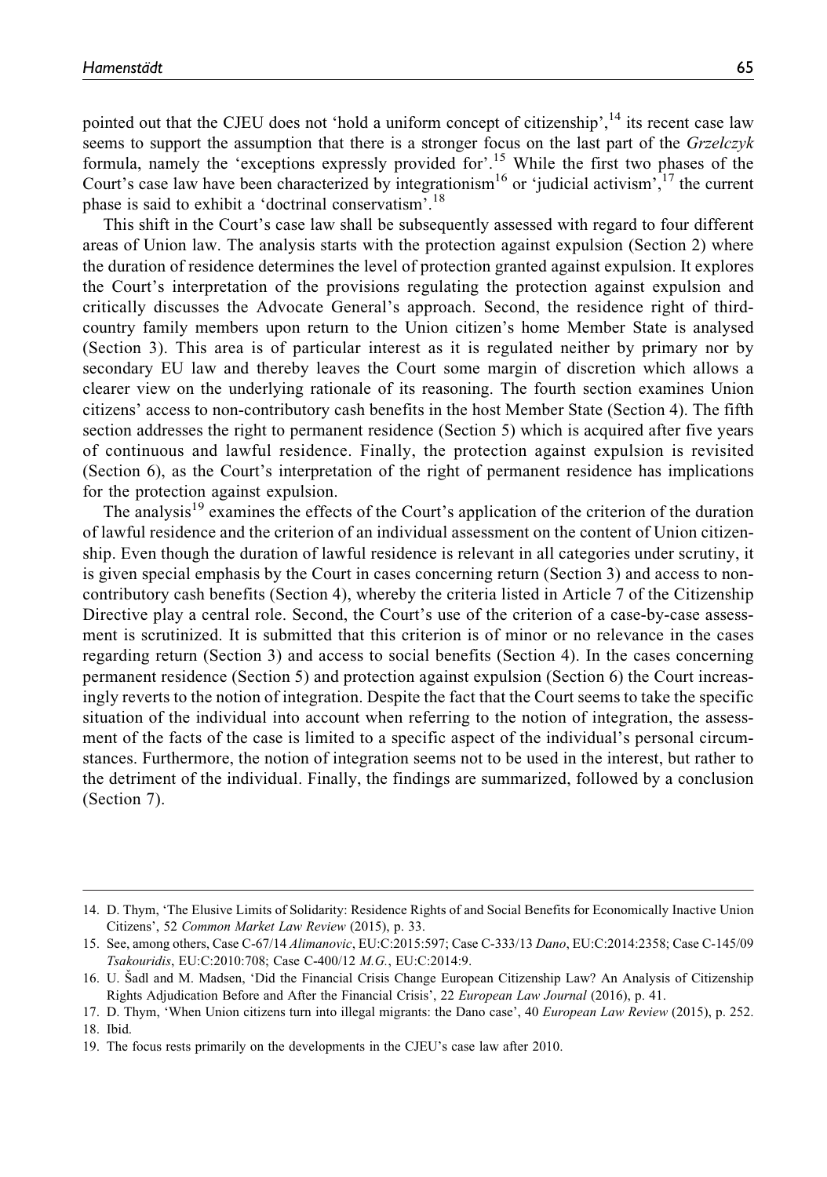pointed out that the CJEU does not 'hold a uniform concept of citizenship', $14$  its recent case law seems to support the assumption that there is a stronger focus on the last part of the Grzelczyk formula, namely the 'exceptions expressly provided for'.<sup>15</sup> While the first two phases of the Court's case law have been characterized by integrationism<sup>16</sup> or 'judicial activism', <sup>17</sup> the current phase is said to exhibit a 'doctrinal conservatism'.<sup>18</sup>

This shift in the Court's case law shall be subsequently assessed with regard to four different areas of Union law. The analysis starts with the protection against expulsion (Section 2) where the duration of residence determines the level of protection granted against expulsion. It explores the Court's interpretation of the provisions regulating the protection against expulsion and critically discusses the Advocate General's approach. Second, the residence right of thirdcountry family members upon return to the Union citizen's home Member State is analysed (Section 3). This area is of particular interest as it is regulated neither by primary nor by secondary EU law and thereby leaves the Court some margin of discretion which allows a clearer view on the underlying rationale of its reasoning. The fourth section examines Union citizens' access to non-contributory cash benefits in the host Member State (Section 4). The fifth section addresses the right to permanent residence (Section 5) which is acquired after five years of continuous and lawful residence. Finally, the protection against expulsion is revisited (Section 6), as the Court's interpretation of the right of permanent residence has implications for the protection against expulsion.

The analysis<sup>19</sup> examines the effects of the Court's application of the criterion of the duration of lawful residence and the criterion of an individual assessment on the content of Union citizenship. Even though the duration of lawful residence is relevant in all categories under scrutiny, it is given special emphasis by the Court in cases concerning return (Section 3) and access to noncontributory cash benefits (Section 4), whereby the criteria listed in Article 7 of the Citizenship Directive play a central role. Second, the Court's use of the criterion of a case-by-case assessment is scrutinized. It is submitted that this criterion is of minor or no relevance in the cases regarding return (Section 3) and access to social benefits (Section 4). In the cases concerning permanent residence (Section 5) and protection against expulsion (Section 6) the Court increasingly reverts to the notion of integration. Despite the fact that the Court seems to take the specific situation of the individual into account when referring to the notion of integration, the assessment of the facts of the case is limited to a specific aspect of the individual's personal circumstances. Furthermore, the notion of integration seems not to be used in the interest, but rather to the detriment of the individual. Finally, the findings are summarized, followed by a conclusion (Section 7).

<sup>14.</sup> D. Thym, 'The Elusive Limits of Solidarity: Residence Rights of and Social Benefits for Economically Inactive Union Citizens', 52 Common Market Law Review (2015), p. 33.

<sup>15.</sup> See, among others, Case C-67/14 Alimanovic, EU:C:2015:597; Case C-333/13 Dano, EU:C:2014:2358; Case C-145/09 Tsakouridis, EU:C:2010:708; Case C-400/12 M.G., EU:C:2014:9.

<sup>16.</sup> U. Sadl and M. Madsen, 'Did the Financial Crisis Change European Citizenship Law? An Analysis of Citizenship Rights Adjudication Before and After the Financial Crisis', 22 European Law Journal (2016), p. 41.

<sup>17.</sup> D. Thym, 'When Union citizens turn into illegal migrants: the Dano case', 40 European Law Review (2015), p. 252. 18. Ibid.

<sup>19.</sup> The focus rests primarily on the developments in the CJEU's case law after 2010.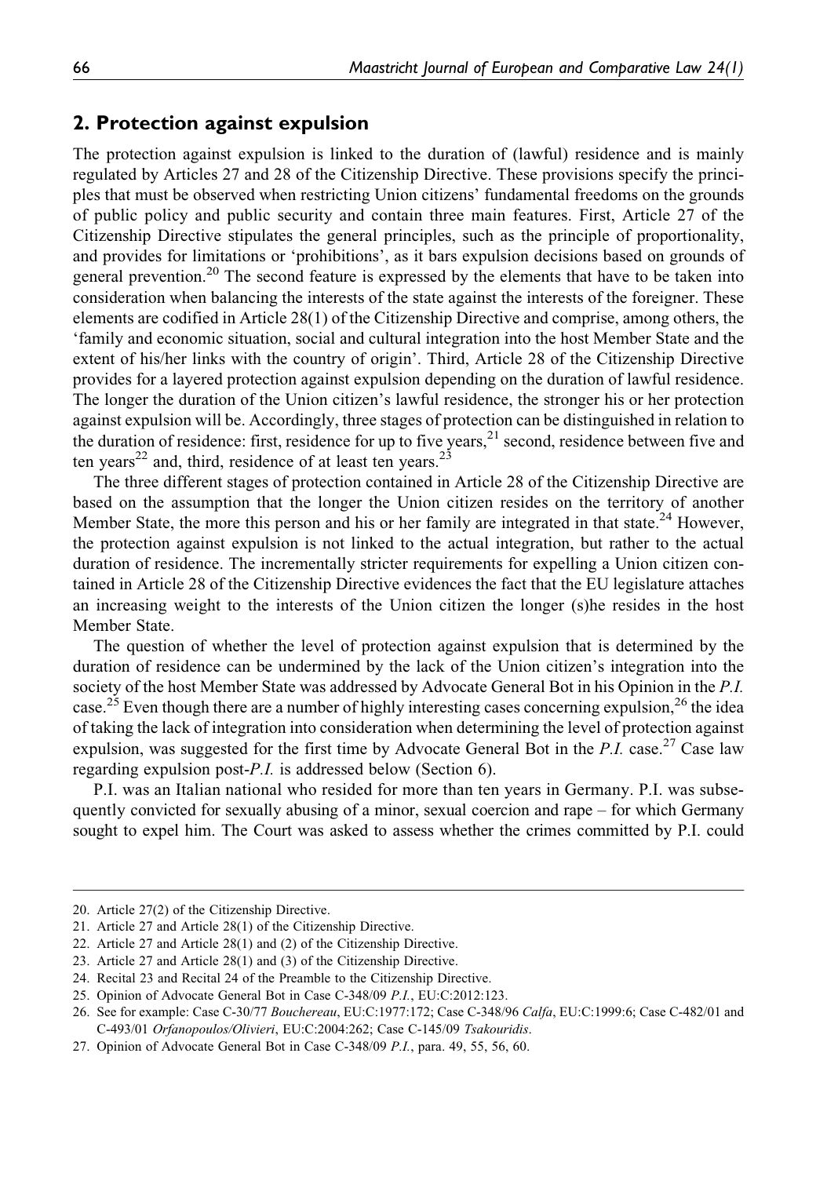## 2. Protection against expulsion

The protection against expulsion is linked to the duration of (lawful) residence and is mainly regulated by Articles 27 and 28 of the Citizenship Directive. These provisions specify the principles that must be observed when restricting Union citizens' fundamental freedoms on the grounds of public policy and public security and contain three main features. First, Article 27 of the Citizenship Directive stipulates the general principles, such as the principle of proportionality, and provides for limitations or 'prohibitions', as it bars expulsion decisions based on grounds of general prevention.<sup>20</sup> The second feature is expressed by the elements that have to be taken into consideration when balancing the interests of the state against the interests of the foreigner. These elements are codified in Article 28(1) of the Citizenship Directive and comprise, among others, the 'family and economic situation, social and cultural integration into the host Member State and the extent of his/her links with the country of origin'. Third, Article 28 of the Citizenship Directive provides for a layered protection against expulsion depending on the duration of lawful residence. The longer the duration of the Union citizen's lawful residence, the stronger his or her protection against expulsion will be. Accordingly, three stages of protection can be distinguished in relation to the duration of residence: first, residence for up to five years, $^{21}$  second, residence between five and ten years<sup>22</sup> and, third, residence of at least ten years.<sup>23</sup>

The three different stages of protection contained in Article 28 of the Citizenship Directive are based on the assumption that the longer the Union citizen resides on the territory of another Member State, the more this person and his or her family are integrated in that state.<sup>24</sup> However, the protection against expulsion is not linked to the actual integration, but rather to the actual duration of residence. The incrementally stricter requirements for expelling a Union citizen contained in Article 28 of the Citizenship Directive evidences the fact that the EU legislature attaches an increasing weight to the interests of the Union citizen the longer (s)he resides in the host Member State.

The question of whether the level of protection against expulsion that is determined by the duration of residence can be undermined by the lack of the Union citizen's integration into the society of the host Member State was addressed by Advocate General Bot in his Opinion in the P.I. case.<sup>25</sup> Even though there are a number of highly interesting cases concerning expulsion,<sup>26</sup> the idea of taking the lack of integration into consideration when determining the level of protection against expulsion, was suggested for the first time by Advocate General Bot in the  $P.I.$  case.<sup>27</sup> Case law regarding expulsion post-P.I. is addressed below (Section 6).

P.I. was an Italian national who resided for more than ten years in Germany. P.I. was subsequently convicted for sexually abusing of a minor, sexual coercion and rape – for which Germany sought to expel him. The Court was asked to assess whether the crimes committed by P.I. could

<sup>20.</sup> Article 27(2) of the Citizenship Directive.

<sup>21.</sup> Article 27 and Article 28(1) of the Citizenship Directive.

<sup>22.</sup> Article 27 and Article 28(1) and (2) of the Citizenship Directive.

<sup>23.</sup> Article 27 and Article 28(1) and (3) of the Citizenship Directive.

<sup>24.</sup> Recital 23 and Recital 24 of the Preamble to the Citizenship Directive.

<sup>25.</sup> Opinion of Advocate General Bot in Case C-348/09 P.I., EU:C:2012:123.

<sup>26.</sup> See for example: Case C-30/77 Bouchereau, EU:C:1977:172; Case C-348/96 Calfa, EU:C:1999:6; Case C-482/01 and C-493/01 Orfanopoulos/Olivieri, EU:C:2004:262; Case C-145/09 Tsakouridis.

<sup>27.</sup> Opinion of Advocate General Bot in Case C-348/09 P.I., para. 49, 55, 56, 60.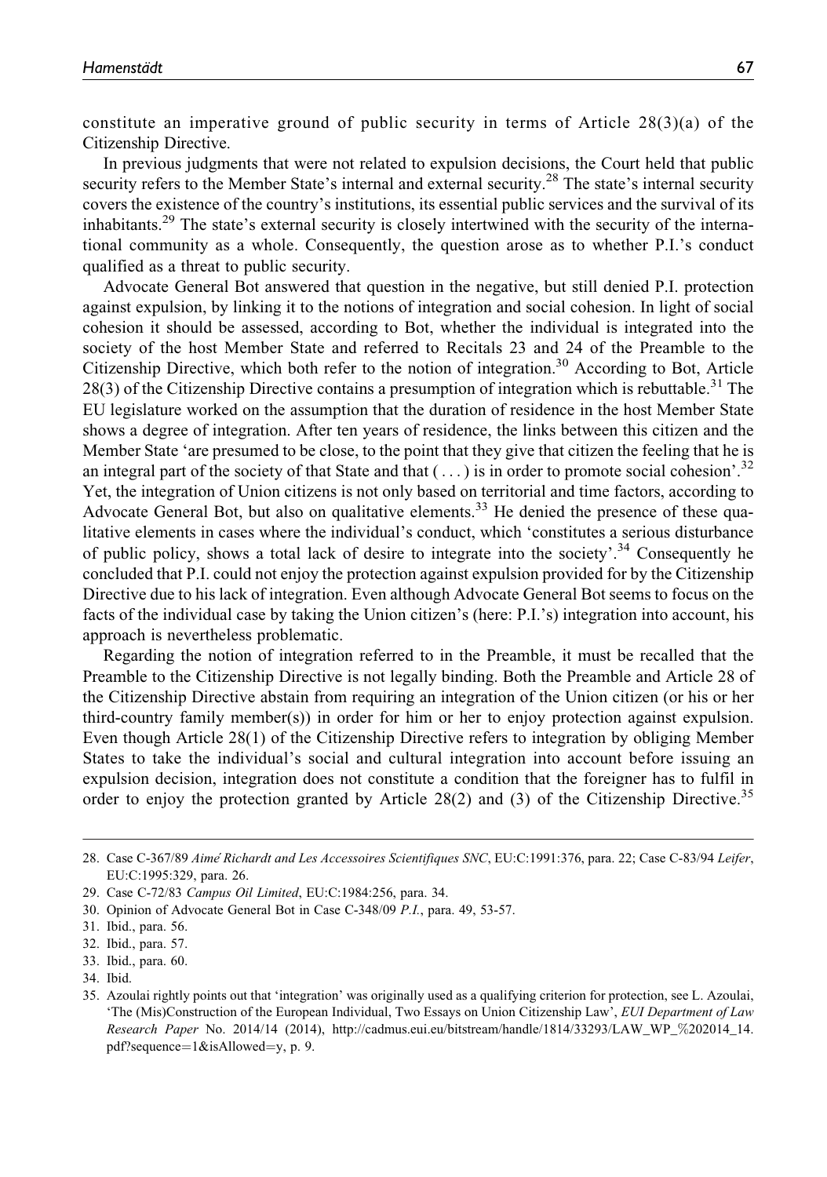constitute an imperative ground of public security in terms of Article 28(3)(a) of the Citizenship Directive.

In previous judgments that were not related to expulsion decisions, the Court held that public security refers to the Member State's internal and external security.<sup>28</sup> The state's internal security covers the existence of the country's institutions, its essential public services and the survival of its inhabitants.<sup>29</sup> The state's external security is closely intertwined with the security of the international community as a whole. Consequently, the question arose as to whether P.I.'s conduct qualified as a threat to public security.

Advocate General Bot answered that question in the negative, but still denied P.I. protection against expulsion, by linking it to the notions of integration and social cohesion. In light of social cohesion it should be assessed, according to Bot, whether the individual is integrated into the society of the host Member State and referred to Recitals 23 and 24 of the Preamble to the Citizenship Directive, which both refer to the notion of integration.<sup>30</sup> According to Bot, Article  $28(3)$  of the Citizenship Directive contains a presumption of integration which is rebuttable.<sup>31</sup> The EU legislature worked on the assumption that the duration of residence in the host Member State shows a degree of integration. After ten years of residence, the links between this citizen and the Member State 'are presumed to be close, to the point that they give that citizen the feeling that he is an integral part of the society of that State and that  $(\ldots)$  is in order to promote social cohesion'.<sup>32</sup> Yet, the integration of Union citizens is not only based on territorial and time factors, according to Advocate General Bot, but also on qualitative elements.<sup>33</sup> He denied the presence of these qualitative elements in cases where the individual's conduct, which 'constitutes a serious disturbance of public policy, shows a total lack of desire to integrate into the society'.<sup>34</sup> Consequently he concluded that P.I. could not enjoy the protection against expulsion provided for by the Citizenship Directive due to his lack of integration. Even although Advocate General Bot seems to focus on the facts of the individual case by taking the Union citizen's (here: P.I.'s) integration into account, his approach is nevertheless problematic.

Regarding the notion of integration referred to in the Preamble, it must be recalled that the Preamble to the Citizenship Directive is not legally binding. Both the Preamble and Article 28 of the Citizenship Directive abstain from requiring an integration of the Union citizen (or his or her third-country family member(s)) in order for him or her to enjoy protection against expulsion. Even though Article 28(1) of the Citizenship Directive refers to integration by obliging Member States to take the individual's social and cultural integration into account before issuing an expulsion decision, integration does not constitute a condition that the foreigner has to fulfil in order to enjoy the protection granted by Article 28(2) and (3) of the Citizenship Directive.<sup>35</sup>

<sup>28.</sup> Case C-367/89 Aimé Richardt and Les Accessoires Scientifiques SNC, EU:C:1991:376, para. 22; Case C-83/94 Leifer, EU:C:1995:329, para. 26.

<sup>29.</sup> Case C-72/83 Campus Oil Limited, EU:C:1984:256, para. 34.

<sup>30.</sup> Opinion of Advocate General Bot in Case C-348/09 P.I., para. 49, 53-57.

<sup>31.</sup> Ibid., para. 56.

<sup>32.</sup> Ibid., para. 57.

<sup>33.</sup> Ibid., para. 60.

<sup>34.</sup> Ibid.

<sup>35.</sup> Azoulai rightly points out that 'integration' was originally used as a qualifying criterion for protection, see L. Azoulai, 'The (Mis)Construction of the European Individual, Two Essays on Union Citizenship Law', EUI Department of Law Research Paper No. 2014/14 (2014), [http://cadmus.eui.eu/bitstream/handle/1814/33293/LAW\\_WP\\_](http://cadmus.eui.eu/bitstream/handle/1814/33293/LAW_WP_%202014_14.pdf?sequence=1&isAllowed=y)%[202014\\_14.](http://cadmus.eui.eu/bitstream/handle/1814/33293/LAW_WP_%202014_14.pdf?sequence=1&isAllowed=y) [pdf?sequence](http://cadmus.eui.eu/bitstream/handle/1814/33293/LAW_WP_%202014_14.pdf?sequence=1&isAllowed=y)= $1&\&$ isAllowed= $v, p. 9$ .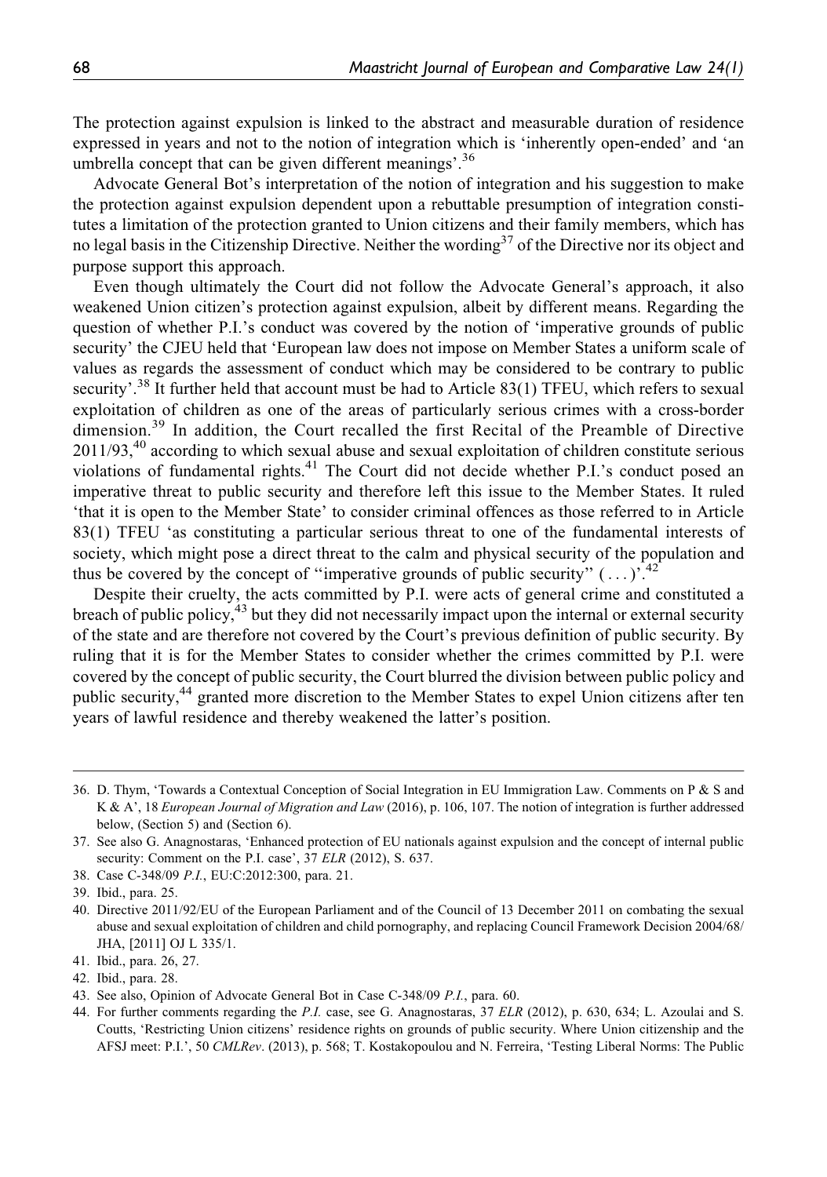The protection against expulsion is linked to the abstract and measurable duration of residence expressed in years and not to the notion of integration which is 'inherently open-ended' and 'an umbrella concept that can be given different meanings'.<sup>36</sup>

Advocate General Bot's interpretation of the notion of integration and his suggestion to make the protection against expulsion dependent upon a rebuttable presumption of integration constitutes a limitation of the protection granted to Union citizens and their family members, which has no legal basis in the Citizenship Directive. Neither the wording<sup>37</sup> of the Directive nor its object and purpose support this approach.

Even though ultimately the Court did not follow the Advocate General's approach, it also weakened Union citizen's protection against expulsion, albeit by different means. Regarding the question of whether P.I.'s conduct was covered by the notion of 'imperative grounds of public security' the CJEU held that 'European law does not impose on Member States a uniform scale of values as regards the assessment of conduct which may be considered to be contrary to public security'.<sup>38</sup> It further held that account must be had to Article 83(1) TFEU, which refers to sexual exploitation of children as one of the areas of particularly serious crimes with a cross-border dimension.<sup>39</sup> In addition, the Court recalled the first Recital of the Preamble of Directive  $2011/93<sup>40</sup>$  according to which sexual abuse and sexual exploitation of children constitute serious violations of fundamental rights.<sup>41</sup> The Court did not decide whether P.I.'s conduct posed an imperative threat to public security and therefore left this issue to the Member States. It ruled 'that it is open to the Member State' to consider criminal offences as those referred to in Article 83(1) TFEU 'as constituting a particular serious threat to one of the fundamental interests of society, which might pose a direct threat to the calm and physical security of the population and thus be covered by the concept of "imperative grounds of public security"  $(\ldots)$ .<sup>42</sup>

Despite their cruelty, the acts committed by P.I. were acts of general crime and constituted a breach of public policy,<sup>43</sup> but they did not necessarily impact upon the internal or external security of the state and are therefore not covered by the Court's previous definition of public security. By ruling that it is for the Member States to consider whether the crimes committed by P.I. were covered by the concept of public security, the Court blurred the division between public policy and public security,<sup>44</sup> granted more discretion to the Member States to expel Union citizens after ten years of lawful residence and thereby weakened the latter's position.

42. Ibid., para. 28.

<sup>36.</sup> D. Thym, 'Towards a Contextual Conception of Social Integration in EU Immigration Law. Comments on P & S and K & A', 18 European Journal of Migration and Law (2016), p. 106, 107. The notion of integration is further addressed below, (Section 5) and (Section 6).

<sup>37.</sup> See also G. Anagnostaras, 'Enhanced protection of EU nationals against expulsion and the concept of internal public security: Comment on the P.I. case', 37 ELR (2012), S. 637.

<sup>38.</sup> Case C-348/09 P.I., EU:C:2012:300, para. 21.

<sup>39.</sup> Ibid., para. 25.

<sup>40.</sup> Directive 2011/92/EU of the European Parliament and of the Council of 13 December 2011 on combating the sexual abuse and sexual exploitation of children and child pornography, and replacing Council Framework Decision 2004/68/ JHA, [2011] OJ L 335/1.

<sup>41.</sup> Ibid., para. 26, 27.

<sup>43.</sup> See also, Opinion of Advocate General Bot in Case C-348/09 P.I., para. 60.

<sup>44.</sup> For further comments regarding the P.I. case, see G. Anagnostaras, 37 ELR (2012), p. 630, 634; L. Azoulai and S. Coutts, 'Restricting Union citizens' residence rights on grounds of public security. Where Union citizenship and the AFSJ meet: P.I.', 50 CMLRev. (2013), p. 568; T. Kostakopoulou and N. Ferreira, 'Testing Liberal Norms: The Public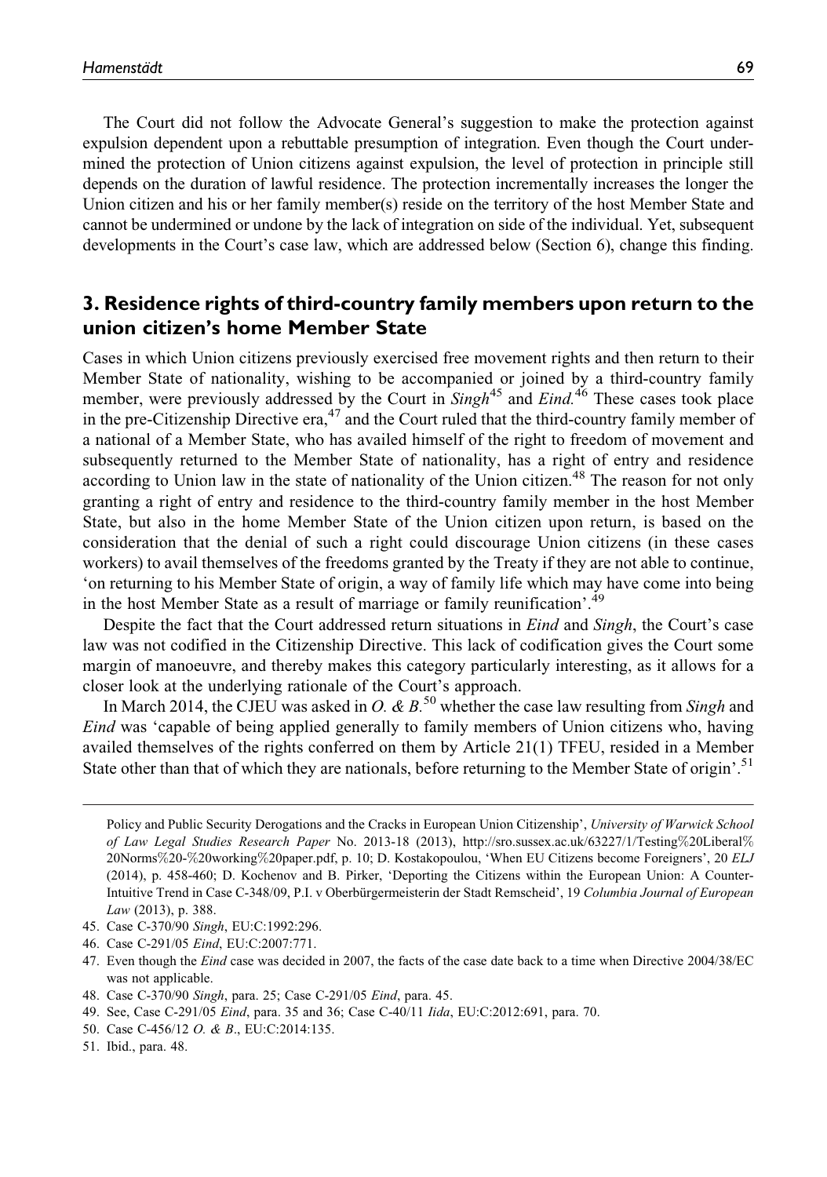The Court did not follow the Advocate General's suggestion to make the protection against expulsion dependent upon a rebuttable presumption of integration. Even though the Court undermined the protection of Union citizens against expulsion, the level of protection in principle still depends on the duration of lawful residence. The protection incrementally increases the longer the Union citizen and his or her family member(s) reside on the territory of the host Member State and cannot be undermined or undone by the lack of integration on side of the individual. Yet, subsequent developments in the Court's case law, which are addressed below (Section 6), change this finding.

# 3. Residence rights of third-country family members upon return to the union citizen's home Member State

Cases in which Union citizens previously exercised free movement rights and then return to their Member State of nationality, wishing to be accompanied or joined by a third-country family member, were previously addressed by the Court in  $Singh<sup>45</sup>$  and  $Eind<sup>46</sup>$  These cases took place in the pre-Citizenship Directive era,  $47$  and the Court ruled that the third-country family member of a national of a Member State, who has availed himself of the right to freedom of movement and subsequently returned to the Member State of nationality, has a right of entry and residence according to Union law in the state of nationality of the Union citizen.<sup>48</sup> The reason for not only granting a right of entry and residence to the third-country family member in the host Member State, but also in the home Member State of the Union citizen upon return, is based on the consideration that the denial of such a right could discourage Union citizens (in these cases workers) to avail themselves of the freedoms granted by the Treaty if they are not able to continue, 'on returning to his Member State of origin, a way of family life which may have come into being in the host Member State as a result of marriage or family reunification'.<sup>49</sup>

Despite the fact that the Court addressed return situations in *Eind* and *Singh*, the Court's case law was not codified in the Citizenship Directive. This lack of codification gives the Court some margin of manoeuvre, and thereby makes this category particularly interesting, as it allows for a closer look at the underlying rationale of the Court's approach.

In March 2014, the CJEU was asked in O. & B.<sup>50</sup> whether the case law resulting from Singh and Eind was 'capable of being applied generally to family members of Union citizens who, having availed themselves of the rights conferred on them by Article 21(1) TFEU, resided in a Member State other than that of which they are nationals, before returning to the Member State of origin'.<sup>51</sup>

Policy and Public Security Derogations and the Cracks in European Union Citizenship', University of Warwick School of Law Legal Studies Research Paper No. 2013-18 (2013), [http://sro.sussex.ac.uk/63227/1/Testing](http://sro.sussex.ac.uk/63227/1/Testing%20Liberal%20Norms%20-%20working%20paper.pdf)%[20Liberal](http://sro.sussex.ac.uk/63227/1/Testing%20Liberal%20Norms%20-%20working%20paper.pdf)% [20Norms](http://sro.sussex.ac.uk/63227/1/Testing%20Liberal%20Norms%20-%20working%20paper.pdf)%[20-](http://sro.sussex.ac.uk/63227/1/Testing%20Liberal%20Norms%20-%20working%20paper.pdf)%[20working](http://sro.sussex.ac.uk/63227/1/Testing%20Liberal%20Norms%20-%20working%20paper.pdf)%[20paper.pdf,](http://sro.sussex.ac.uk/63227/1/Testing%20Liberal%20Norms%20-%20working%20paper.pdf) p. 10; D. Kostakopoulou, 'When EU Citizens become Foreigners', 20 ELJ (2014), p. 458-460; D. Kochenov and B. Pirker, 'Deporting the Citizens within the European Union: A Counter-Intuitive Trend in Case C-348/09, P.I. v Oberbürgermeisterin der Stadt Remscheid', 19 Columbia Journal of European Law (2013), p. 388.

<sup>45.</sup> Case C-370/90 Singh, EU:C:1992:296.

<sup>46.</sup> Case C-291/05 Eind, EU:C:2007:771.

<sup>47.</sup> Even though the Eind case was decided in 2007, the facts of the case date back to a time when Directive 2004/38/EC was not applicable.

<sup>48.</sup> Case C-370/90 Singh, para. 25; Case C-291/05 Eind, para. 45.

<sup>49.</sup> See, Case C-291/05 Eind, para. 35 and 36; Case C-40/11 Iida, EU:C:2012:691, para. 70.

<sup>50.</sup> Case C-456/12 O. & B., EU:C:2014:135.

<sup>51.</sup> Ibid., para. 48.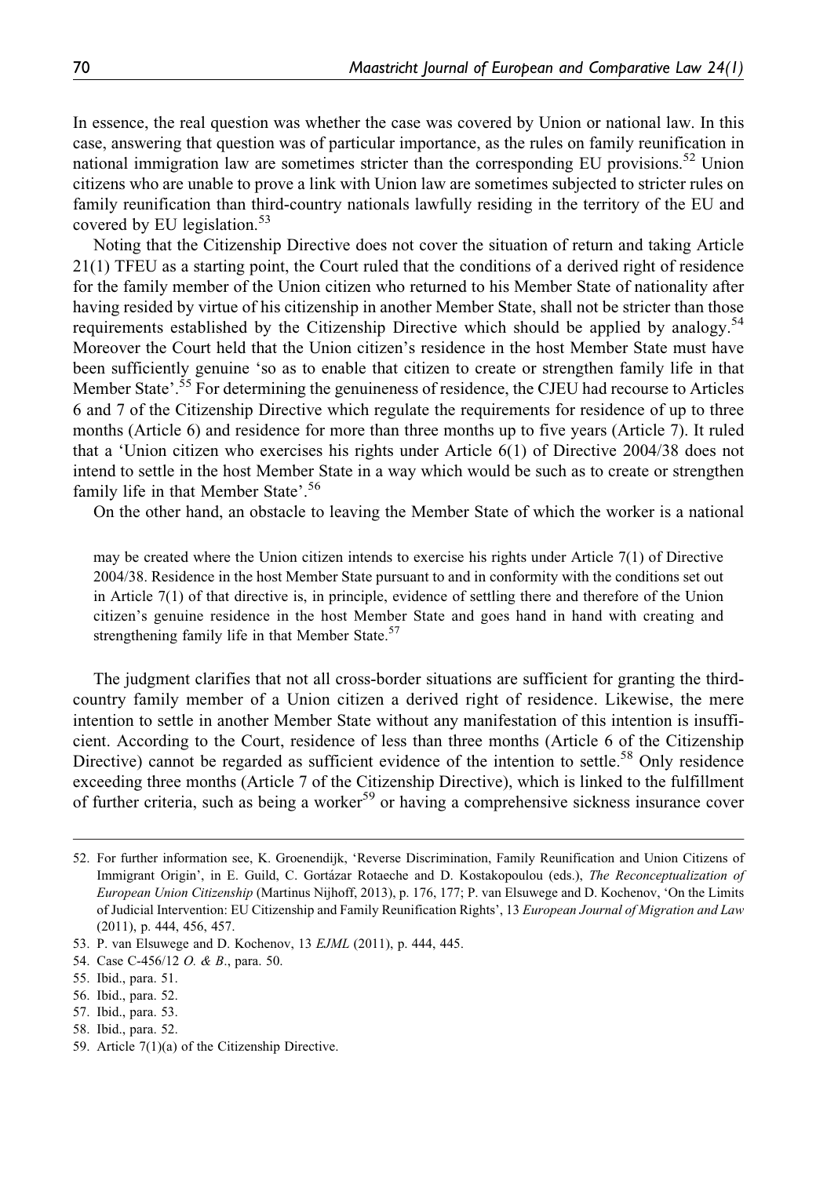In essence, the real question was whether the case was covered by Union or national law. In this case, answering that question was of particular importance, as the rules on family reunification in national immigration law are sometimes stricter than the corresponding EU provisions.<sup>52</sup> Union citizens who are unable to prove a link with Union law are sometimes subjected to stricter rules on family reunification than third-country nationals lawfully residing in the territory of the EU and covered by EU legislation.<sup>53</sup>

Noting that the Citizenship Directive does not cover the situation of return and taking Article 21(1) TFEU as a starting point, the Court ruled that the conditions of a derived right of residence for the family member of the Union citizen who returned to his Member State of nationality after having resided by virtue of his citizenship in another Member State, shall not be stricter than those requirements established by the Citizenship Directive which should be applied by analogy.<sup>54</sup> Moreover the Court held that the Union citizen's residence in the host Member State must have been sufficiently genuine 'so as to enable that citizen to create or strengthen family life in that Member State'.<sup>55</sup> For determining the genuineness of residence, the CJEU had recourse to Articles 6 and 7 of the Citizenship Directive which regulate the requirements for residence of up to three months (Article 6) and residence for more than three months up to five years (Article 7). It ruled that a 'Union citizen who exercises his rights under Article 6(1) of Directive 2004/38 does not intend to settle in the host Member State in a way which would be such as to create or strengthen family life in that Member State'.<sup>56</sup>

On the other hand, an obstacle to leaving the Member State of which the worker is a national

may be created where the Union citizen intends to exercise his rights under Article 7(1) of Directive 2004/38. Residence in the host Member State pursuant to and in conformity with the conditions set out in Article 7(1) of that directive is, in principle, evidence of settling there and therefore of the Union citizen's genuine residence in the host Member State and goes hand in hand with creating and strengthening family life in that Member State.<sup>57</sup>

The judgment clarifies that not all cross-border situations are sufficient for granting the thirdcountry family member of a Union citizen a derived right of residence. Likewise, the mere intention to settle in another Member State without any manifestation of this intention is insufficient. According to the Court, residence of less than three months (Article 6 of the Citizenship Directive) cannot be regarded as sufficient evidence of the intention to settle.<sup>58</sup> Only residence exceeding three months (Article 7 of the Citizenship Directive), which is linked to the fulfillment of further criteria, such as being a worker<sup>59</sup> or having a comprehensive sickness insurance cover

<sup>52.</sup> For further information see, K. Groenendijk, 'Reverse Discrimination, Family Reunification and Union Citizens of Immigrant Origin', in E. Guild, C. Gortázar Rotaeche and D. Kostakopoulou (eds.), The Reconceptualization of European Union Citizenship (Martinus Nijhoff, 2013), p. 176, 177; P. van Elsuwege and D. Kochenov, 'On the Limits of Judicial Intervention: EU Citizenship and Family Reunification Rights', 13 European Journal of Migration and Law (2011), p. 444, 456, 457.

<sup>53.</sup> P. van Elsuwege and D. Kochenov, 13 EJML (2011), p. 444, 445.

<sup>54.</sup> Case C-456/12 *O. & B.*, para. 50.

<sup>55.</sup> Ibid., para. 51.

<sup>56.</sup> Ibid., para. 52.

<sup>57.</sup> Ibid., para. 53.

<sup>58.</sup> Ibid., para. 52.

<sup>59.</sup> Article 7(1)(a) of the Citizenship Directive.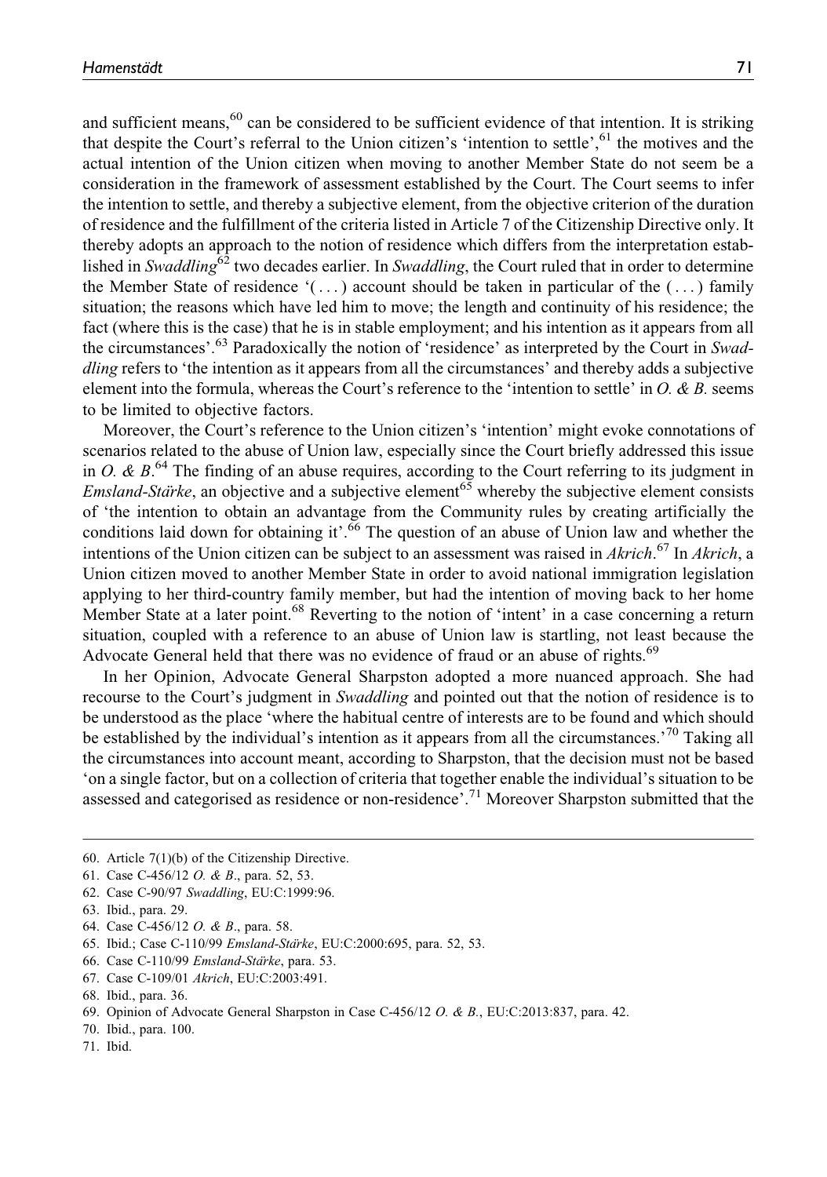and sufficient means,<sup>60</sup> can be considered to be sufficient evidence of that intention. It is striking that despite the Court's referral to the Union citizen's 'intention to settle',  $61$  the motives and the actual intention of the Union citizen when moving to another Member State do not seem be a consideration in the framework of assessment established by the Court. The Court seems to infer the intention to settle, and thereby a subjective element, from the objective criterion of the duration of residence and the fulfillment of the criteria listed in Article 7 of the Citizenship Directive only. It thereby adopts an approach to the notion of residence which differs from the interpretation established in Swaddling<sup>62</sup> two decades earlier. In Swaddling, the Court ruled that in order to determine the Member State of residence  $( \dots )$  account should be taken in particular of the  $( \dots )$  family situation; the reasons which have led him to move; the length and continuity of his residence; the fact (where this is the case) that he is in stable employment; and his intention as it appears from all the circumstances'.<sup>63</sup> Paradoxically the notion of 'residence' as interpreted by the Court in Swaddling refers to 'the intention as it appears from all the circumstances' and thereby adds a subjective element into the formula, whereas the Court's reference to the 'intention to settle' in  $O$ .  $\& B$ . seems to be limited to objective factors.

Moreover, the Court's reference to the Union citizen's 'intention' might evoke connotations of scenarios related to the abuse of Union law, especially since the Court briefly addressed this issue in O. &  $B$ .<sup>64</sup> The finding of an abuse requires, according to the Court referring to its judgment in *Emsland-Staïrke*, an objective and a subjective element<sup>65</sup> whereby the subjective element consists of 'the intention to obtain an advantage from the Community rules by creating artificially the conditions laid down for obtaining it'.<sup>66</sup> The question of an abuse of Union law and whether the intentions of the Union citizen can be subject to an assessment was raised in  $Akrich$ .<sup>67</sup> In  $Akrich$ , a Union citizen moved to another Member State in order to avoid national immigration legislation applying to her third-country family member, but had the intention of moving back to her home Member State at a later point.<sup>68</sup> Reverting to the notion of 'intent' in a case concerning a return situation, coupled with a reference to an abuse of Union law is startling, not least because the Advocate General held that there was no evidence of fraud or an abuse of rights.<sup>69</sup>

In her Opinion, Advocate General Sharpston adopted a more nuanced approach. She had recourse to the Court's judgment in Swaddling and pointed out that the notion of residence is to be understood as the place 'where the habitual centre of interests are to be found and which should be established by the individual's intention as it appears from all the circumstances.<sup>70</sup> Taking all the circumstances into account meant, according to Sharpston, that the decision must not be based 'on a single factor, but on a collection of criteria that together enable the individual's situation to be assessed and categorised as residence or non-residence'.<sup>71</sup> Moreover Sharpston submitted that the

<sup>60.</sup> Article 7(1)(b) of the Citizenship Directive.

<sup>61.</sup> Case C-456/12 O. & B., para. 52, 53.

<sup>62.</sup> Case C-90/97 Swaddling, EU:C:1999:96.

<sup>63.</sup> Ibid., para. 29.

<sup>64.</sup> Case C-456/12 O. & B., para. 58.

<sup>65.</sup> Ibid.; Case C-110/99 Emsland-Stärke, EU:C:2000:695, para. 52, 53.

<sup>66.</sup> Case C-110/99 Emsland-Stärke, para. 53.

<sup>67.</sup> Case C-109/01 Akrich, EU:C:2003:491.

<sup>68.</sup> Ibid., para. 36.

<sup>69.</sup> Opinion of Advocate General Sharpston in Case C-456/12 O. & B., EU:C:2013:837, para. 42.

<sup>70.</sup> Ibid., para. 100.

<sup>71.</sup> Ibid.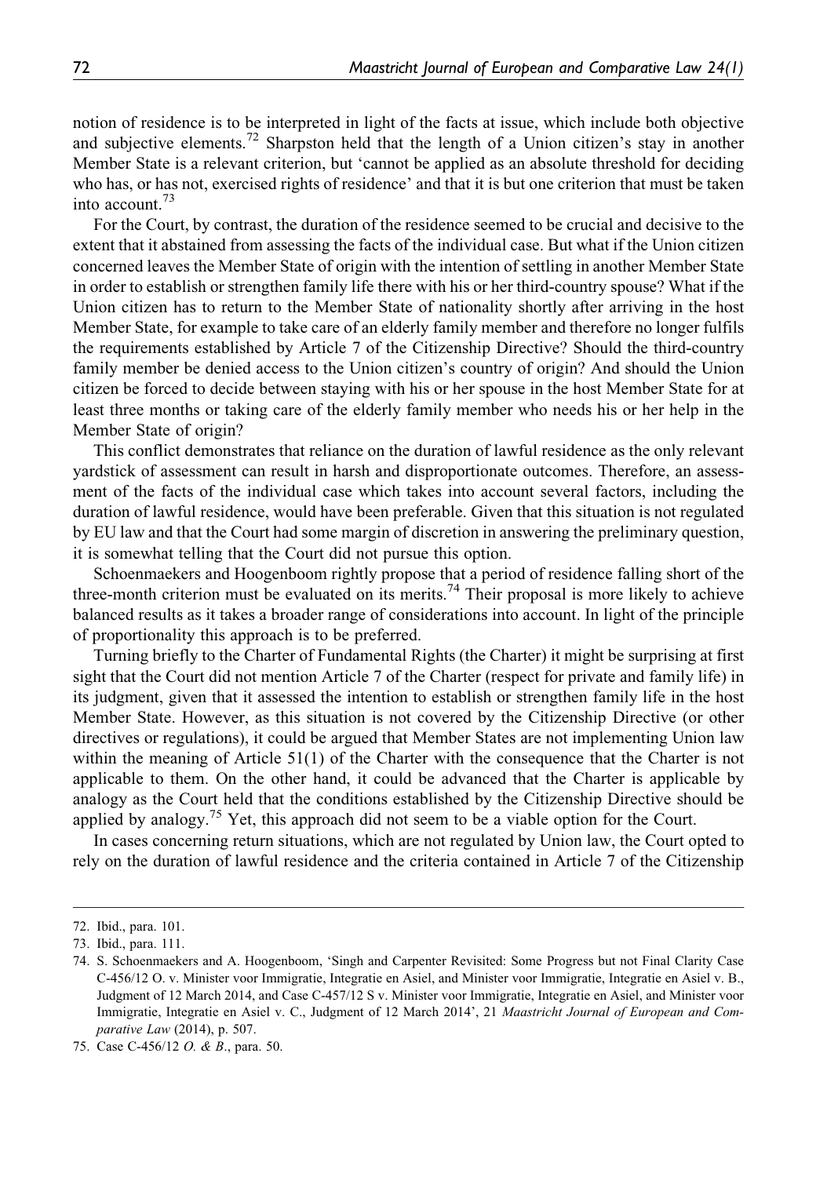notion of residence is to be interpreted in light of the facts at issue, which include both objective and subjective elements.<sup>72</sup> Sharpston held that the length of a Union citizen's stay in another Member State is a relevant criterion, but 'cannot be applied as an absolute threshold for deciding who has, or has not, exercised rights of residence' and that it is but one criterion that must be taken into account.<sup>73</sup>

For the Court, by contrast, the duration of the residence seemed to be crucial and decisive to the extent that it abstained from assessing the facts of the individual case. But what if the Union citizen concerned leaves the Member State of origin with the intention of settling in another Member State in order to establish or strengthen family life there with his or her third-country spouse? What if the Union citizen has to return to the Member State of nationality shortly after arriving in the host Member State, for example to take care of an elderly family member and therefore no longer fulfils the requirements established by Article 7 of the Citizenship Directive? Should the third-country family member be denied access to the Union citizen's country of origin? And should the Union citizen be forced to decide between staying with his or her spouse in the host Member State for at least three months or taking care of the elderly family member who needs his or her help in the Member State of origin?

This conflict demonstrates that reliance on the duration of lawful residence as the only relevant yardstick of assessment can result in harsh and disproportionate outcomes. Therefore, an assessment of the facts of the individual case which takes into account several factors, including the duration of lawful residence, would have been preferable. Given that this situation is not regulated by EU law and that the Court had some margin of discretion in answering the preliminary question, it is somewhat telling that the Court did not pursue this option.

Schoenmaekers and Hoogenboom rightly propose that a period of residence falling short of the three-month criterion must be evaluated on its merits.<sup>74</sup> Their proposal is more likely to achieve balanced results as it takes a broader range of considerations into account. In light of the principle of proportionality this approach is to be preferred.

Turning briefly to the Charter of Fundamental Rights (the Charter) it might be surprising at first sight that the Court did not mention Article 7 of the Charter (respect for private and family life) in its judgment, given that it assessed the intention to establish or strengthen family life in the host Member State. However, as this situation is not covered by the Citizenship Directive (or other directives or regulations), it could be argued that Member States are not implementing Union law within the meaning of Article 51(1) of the Charter with the consequence that the Charter is not applicable to them. On the other hand, it could be advanced that the Charter is applicable by analogy as the Court held that the conditions established by the Citizenship Directive should be applied by analogy.<sup>75</sup> Yet, this approach did not seem to be a viable option for the Court.

In cases concerning return situations, which are not regulated by Union law, the Court opted to rely on the duration of lawful residence and the criteria contained in Article 7 of the Citizenship

<sup>72.</sup> Ibid., para. 101.

<sup>73.</sup> Ibid., para. 111.

<sup>74.</sup> S. Schoenmaekers and A. Hoogenboom, 'Singh and Carpenter Revisited: Some Progress but not Final Clarity Case C-456/12 O. v. Minister voor Immigratie, Integratie en Asiel, and Minister voor Immigratie, Integratie en Asiel v. B., Judgment of 12 March 2014, and Case C-457/12 S v. Minister voor Immigratie, Integratie en Asiel, and Minister voor Immigratie, Integratie en Asiel v. C., Judgment of 12 March 2014', 21 Maastricht Journal of European and Comparative Law (2014), p. 507.

<sup>75.</sup> Case C-456/12 O. & B., para. 50.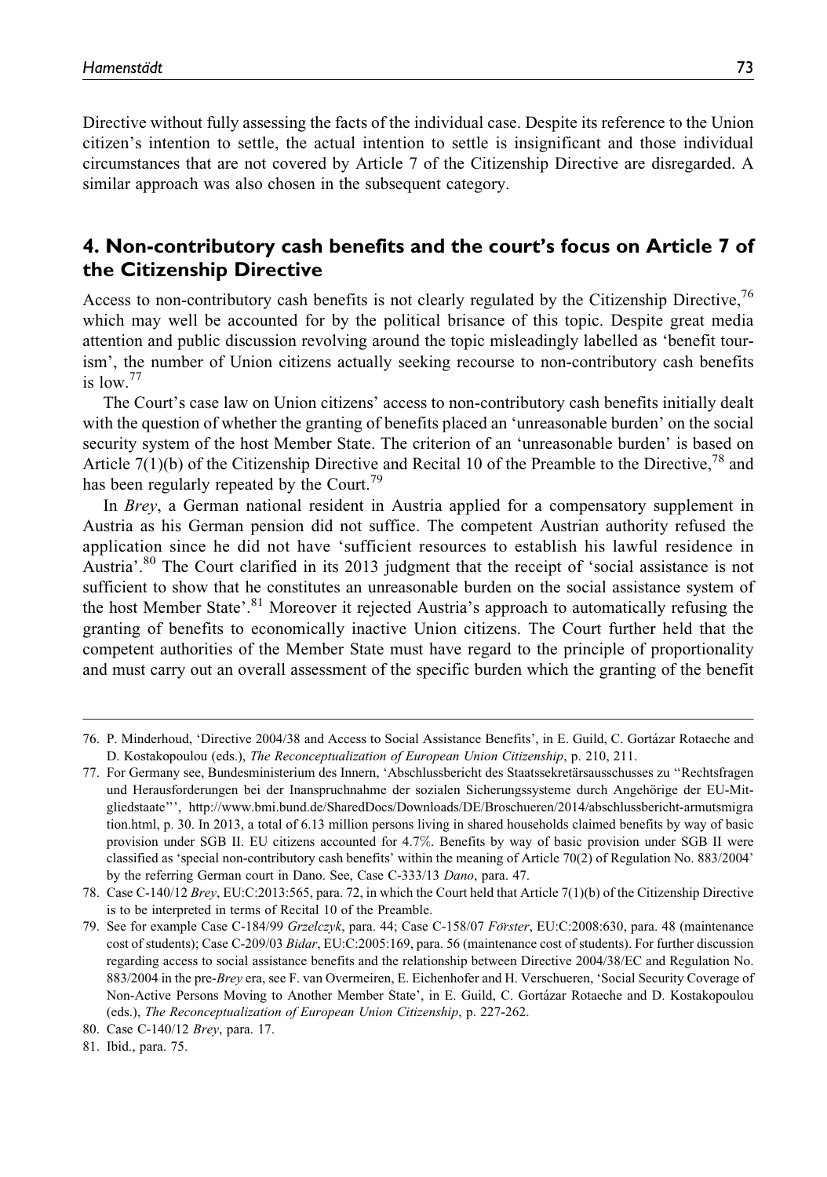Directive without fully assessing the facts of the individual case. Despite its reference to the Union citizen's intention to settle, the actual intention to settle is insignificant and those individual circumstances that are not covered by Article 7 of the Citizenship Directive are disregarded. A similar approach was also chosen in the subsequent category.

# 4. Non-contributory cash benefits and the court's focus on Article 7 of the Citizenship Directive

Access to non-contributory cash benefits is not clearly regulated by the Citizenship Directive,  $^{76}$ which may well be accounted for by the political brisance of this topic. Despite great media attention and public discussion revolving around the topic misleadingly labelled as 'benefit tourism', the number of Union citizens actually seeking recourse to non-contributory cash benefits is low  $^{77}$ 

The Court's case law on Union citizens' access to non-contributory cash benefits initially dealt with the question of whether the granting of benefits placed an 'unreasonable burden' on the social security system of the host Member State. The criterion of an 'unreasonable burden' is based on Article 7(1)(b) of the Citizenship Directive and Recital 10 of the Preamble to the Directive, <sup>78</sup> and has been regularly repeated by the Court.<sup>79</sup>

In Brey, a German national resident in Austria applied for a compensatory supplement in Austria as his German pension did not suffice. The competent Austrian authority refused the application since he did not have 'sufficient resources to establish his lawful residence in Austria'.<sup>80</sup> The Court clarified in its 2013 judgment that the receipt of 'social assistance is not sufficient to show that he constitutes an unreasonable burden on the social assistance system of the host Member State'.<sup>81</sup> Moreover it rejected Austria's approach to automatically refusing the granting of benefits to economically inactive Union citizens. The Court further held that the competent authorities of the Member State must have regard to the principle of proportionality and must carry out an overall assessment of the specific burden which the granting of the benefit

<sup>76.</sup> P. Minderhoud, 'Directive 2004/38 and Access to Social Assistance Benefits', in E. Guild, C. Gortázar Rotaeche and D. Kostakopoulou (eds.), The Reconceptualization of European Union Citizenship, p. 210, 211.

<sup>77.</sup> For Germany see, Bundesministerium des Innern, 'Abschlussbericht des Staatssekretärsausschusses zu "Rechtsfragen und Herausforderungen bei der Inanspruchnahme der sozialen Sicherungssysteme durch Angehörige der EU-Mitgliedstaate''', [http://www.bmi.bund.de/SharedDocs/Downloads/DE/Broschueren/2014/abschlussbericht-armutsmigra](http://www.bmi.bund.de/SharedDocs/Downloads/DE/Broschueren/2014/abschlussbericht-armutsmigration.html) [tion.html](http://www.bmi.bund.de/SharedDocs/Downloads/DE/Broschueren/2014/abschlussbericht-armutsmigration.html), p. 30. In 2013, a total of 6.13 million persons living in shared households claimed benefits by way of basic provision under SGB II. EU citizens accounted for 4.7%. Benefits by way of basic provision under SGB II were classified as 'special non-contributory cash benefits' within the meaning of Article 70(2) of Regulation No. 883/2004' by the referring German court in Dano. See, Case C-333/13 Dano, para. 47.

<sup>78.</sup> Case C-140/12 Brey, EU:C:2013:565, para. 72, in which the Court held that Article 7(1)(b) of the Citizenship Directive is to be interpreted in terms of Recital 10 of the Preamble.

<sup>79.</sup> See for example Case C-184/99 Grzelczyk, para. 44; Case C-158/07 Förster, EU:C:2008:630, para. 48 (maintenance cost of students); Case C-209/03 Bidar, EU:C:2005:169, para. 56 (maintenance cost of students). For further discussion regarding access to social assistance benefits and the relationship between Directive 2004/38/EC and Regulation No. 883/2004 in the pre-Brey era, see F. van Overmeiren, E. Eichenhofer and H. Verschueren, 'Social Security Coverage of Non-Active Persons Moving to Another Member State', in E. Guild, C. Gorta´zar Rotaeche and D. Kostakopoulou (eds.), The Reconceptualization of European Union Citizenship, p. 227-262.

<sup>80.</sup> Case C-140/12 Brey, para. 17.

<sup>81.</sup> Ibid., para. 75.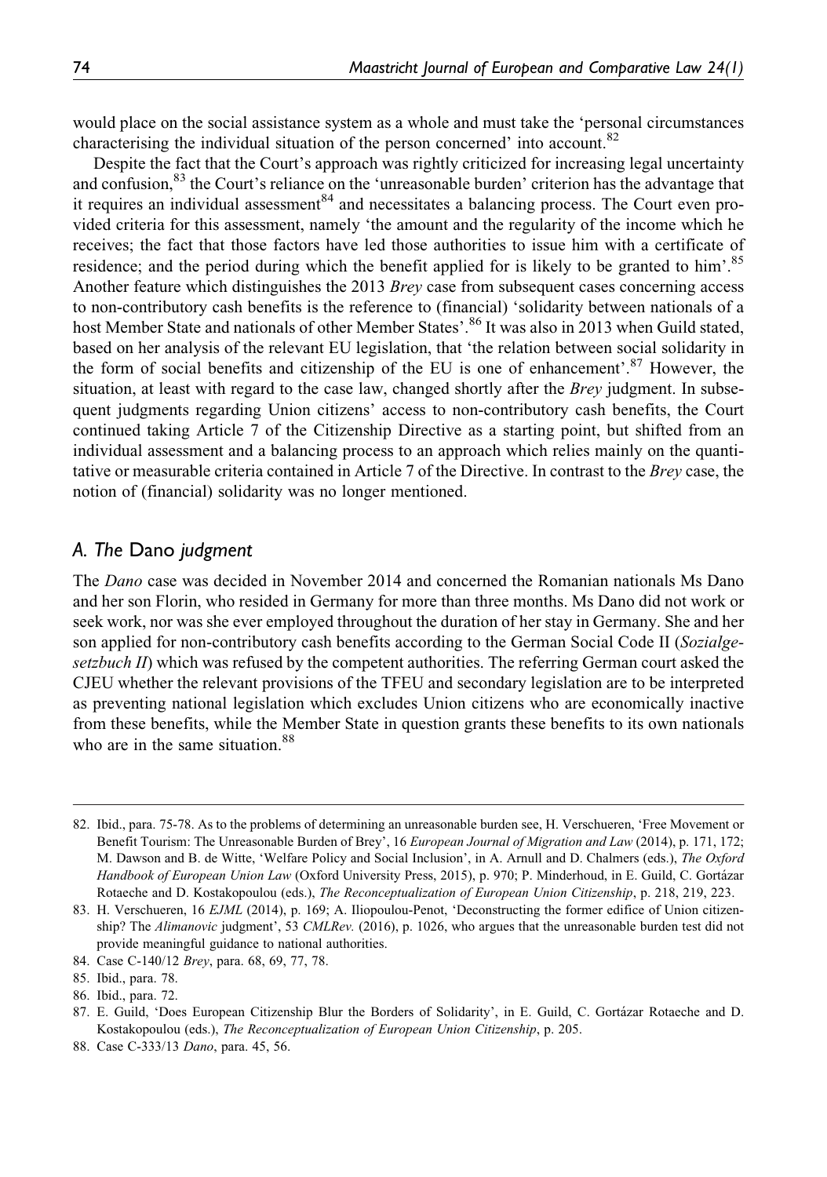would place on the social assistance system as a whole and must take the 'personal circumstances characterising the individual situation of the person concerned' into account.<sup>82</sup>

Despite the fact that the Court's approach was rightly criticized for increasing legal uncertainty and confusion,<sup>83</sup> the Court's reliance on the 'unreasonable burden' criterion has the advantage that it requires an individual assessment  $84$  and necessitates a balancing process. The Court even provided criteria for this assessment, namely 'the amount and the regularity of the income which he receives; the fact that those factors have led those authorities to issue him with a certificate of residence; and the period during which the benefit applied for is likely to be granted to him'.<sup>85</sup> Another feature which distinguishes the 2013 Brey case from subsequent cases concerning access to non-contributory cash benefits is the reference to (financial) 'solidarity between nationals of a host Member State and nationals of other Member States'.<sup>86</sup> It was also in 2013 when Guild stated, based on her analysis of the relevant EU legislation, that 'the relation between social solidarity in the form of social benefits and citizenship of the EU is one of enhancement'.<sup>87</sup> However, the situation, at least with regard to the case law, changed shortly after the *Brey* judgment. In subsequent judgments regarding Union citizens' access to non-contributory cash benefits, the Court continued taking Article 7 of the Citizenship Directive as a starting point, but shifted from an individual assessment and a balancing process to an approach which relies mainly on the quantitative or measurable criteria contained in Article 7 of the Directive. In contrast to the Brey case, the notion of (financial) solidarity was no longer mentioned.

#### A. The Dano judgment

The Dano case was decided in November 2014 and concerned the Romanian nationals Ms Dano and her son Florin, who resided in Germany for more than three months. Ms Dano did not work or seek work, nor was she ever employed throughout the duration of her stay in Germany. She and her son applied for non-contributory cash benefits according to the German Social Code II (Sozialgesetzbuch II) which was refused by the competent authorities. The referring German court asked the CJEU whether the relevant provisions of the TFEU and secondary legislation are to be interpreted as preventing national legislation which excludes Union citizens who are economically inactive from these benefits, while the Member State in question grants these benefits to its own nationals who are in the same situation.<sup>88</sup>

<sup>82.</sup> Ibid., para. 75-78. As to the problems of determining an unreasonable burden see, H. Verschueren, 'Free Movement or Benefit Tourism: The Unreasonable Burden of Brey', 16 European Journal of Migration and Law (2014), p. 171, 172; M. Dawson and B. de Witte, 'Welfare Policy and Social Inclusion', in A. Arnull and D. Chalmers (eds.), The Oxford Handbook of European Union Law (Oxford University Press, 2015), p. 970; P. Minderhoud, in E. Guild, C. Gortázar Rotaeche and D. Kostakopoulou (eds.), The Reconceptualization of European Union Citizenship, p. 218, 219, 223.

<sup>83.</sup> H. Verschueren, 16 EJML (2014), p. 169; A. Iliopoulou-Penot, 'Deconstructing the former edifice of Union citizenship? The Alimanovic judgment', 53 CMLRev. (2016), p. 1026, who argues that the unreasonable burden test did not provide meaningful guidance to national authorities.

<sup>84.</sup> Case C-140/12 Brey, para. 68, 69, 77, 78.

<sup>85.</sup> Ibid., para. 78.

<sup>86.</sup> Ibid., para. 72.

<sup>87.</sup> E. Guild, 'Does European Citizenship Blur the Borders of Solidarity', in E. Guild, C. Gorta´zar Rotaeche and D. Kostakopoulou (eds.), The Reconceptualization of European Union Citizenship, p. 205.

<sup>88.</sup> Case C-333/13 Dano, para. 45, 56.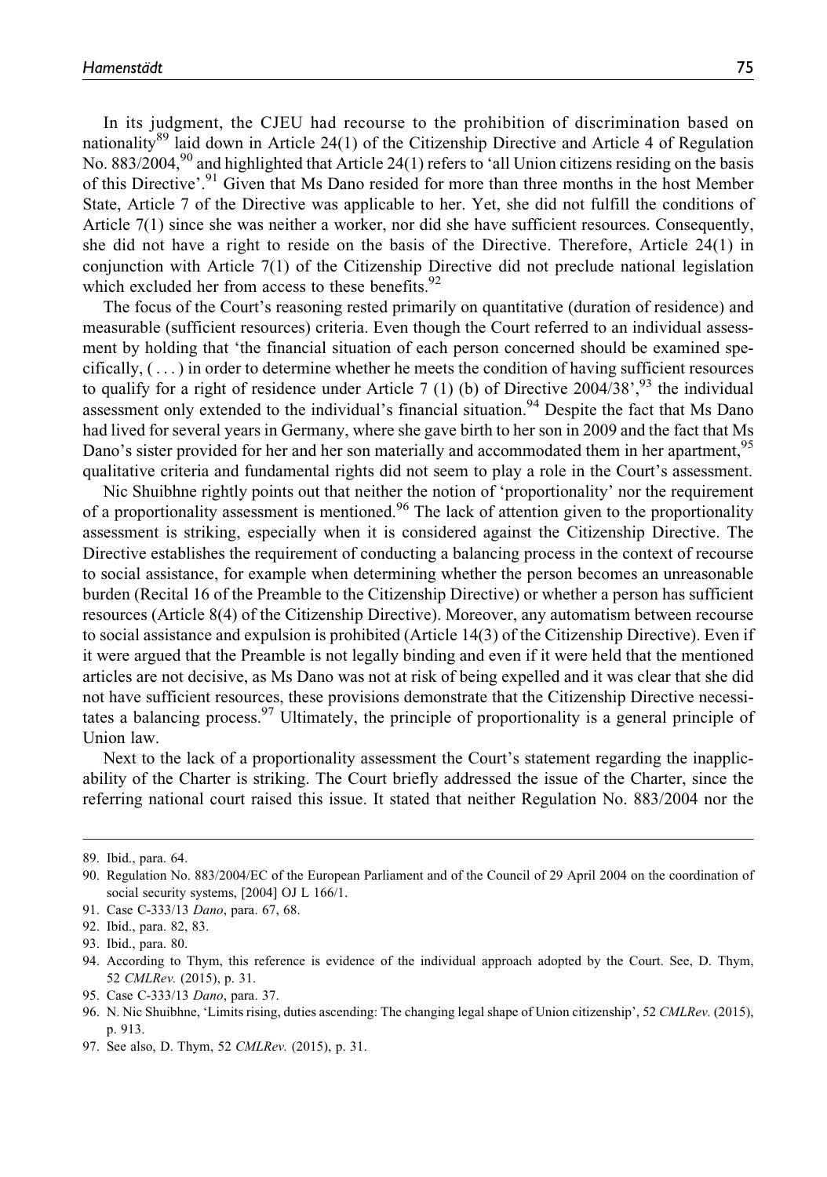In its judgment, the CJEU had recourse to the prohibition of discrimination based on nationality<sup>89</sup> laid down in Article 24(1) of the Citizenship Directive and Article 4 of Regulation No.  $883/2004$ ,<sup>90</sup> and highlighted that Article 24(1) refers to 'all Union citizens residing on the basis of this Directive'.<sup>91</sup> Given that Ms Dano resided for more than three months in the host Member State, Article 7 of the Directive was applicable to her. Yet, she did not fulfill the conditions of Article 7(1) since she was neither a worker, nor did she have sufficient resources. Consequently, she did not have a right to reside on the basis of the Directive. Therefore, Article 24(1) in conjunction with Article 7(1) of the Citizenship Directive did not preclude national legislation which excluded her from access to these benefits.<sup>92</sup>

The focus of the Court's reasoning rested primarily on quantitative (duration of residence) and measurable (sufficient resources) criteria. Even though the Court referred to an individual assessment by holding that 'the financial situation of each person concerned should be examined specifically,  $(\ldots)$  in order to determine whether he meets the condition of having sufficient resources to qualify for a right of residence under Article 7 (1) (b) of Directive  $2004/38$ <sup>,  $93$ </sup> the individual assessment only extended to the individual's financial situation.<sup>94</sup> Despite the fact that Ms Dano had lived for several years in Germany, where she gave birth to her son in 2009 and the fact that Ms Dano's sister provided for her and her son materially and accommodated them in her apartment,<sup>95</sup> qualitative criteria and fundamental rights did not seem to play a role in the Court's assessment.

Nic Shuibhne rightly points out that neither the notion of 'proportionality' nor the requirement of a proportionality assessment is mentioned.<sup>96</sup> The lack of attention given to the proportionality assessment is striking, especially when it is considered against the Citizenship Directive. The Directive establishes the requirement of conducting a balancing process in the context of recourse to social assistance, for example when determining whether the person becomes an unreasonable burden (Recital 16 of the Preamble to the Citizenship Directive) or whether a person has sufficient resources (Article 8(4) of the Citizenship Directive). Moreover, any automatism between recourse to social assistance and expulsion is prohibited (Article 14(3) of the Citizenship Directive). Even if it were argued that the Preamble is not legally binding and even if it were held that the mentioned articles are not decisive, as Ms Dano was not at risk of being expelled and it was clear that she did not have sufficient resources, these provisions demonstrate that the Citizenship Directive necessitates a balancing process.<sup>97</sup> Ultimately, the principle of proportionality is a general principle of Union law.

Next to the lack of a proportionality assessment the Court's statement regarding the inapplicability of the Charter is striking. The Court briefly addressed the issue of the Charter, since the referring national court raised this issue. It stated that neither Regulation No. 883/2004 nor the

<sup>89.</sup> Ibid., para. 64.

<sup>90.</sup> Regulation No. 883/2004/EC of the European Parliament and of the Council of 29 April 2004 on the coordination of social security systems, [2004] OJ L 166/1.

<sup>91.</sup> Case C-333/13 Dano, para. 67, 68.

<sup>92.</sup> Ibid., para. 82, 83.

<sup>93.</sup> Ibid., para. 80.

<sup>94.</sup> According to Thym, this reference is evidence of the individual approach adopted by the Court. See, D. Thym, 52 CMLRev. (2015), p. 31.

<sup>95.</sup> Case C-333/13 Dano, para. 37.

<sup>96.</sup> N. Nic Shuibhne, 'Limits rising, duties ascending: The changing legal shape of Union citizenship', 52 CMLRev. (2015), p. 913.

<sup>97.</sup> See also, D. Thym, 52 CMLRev. (2015), p. 31.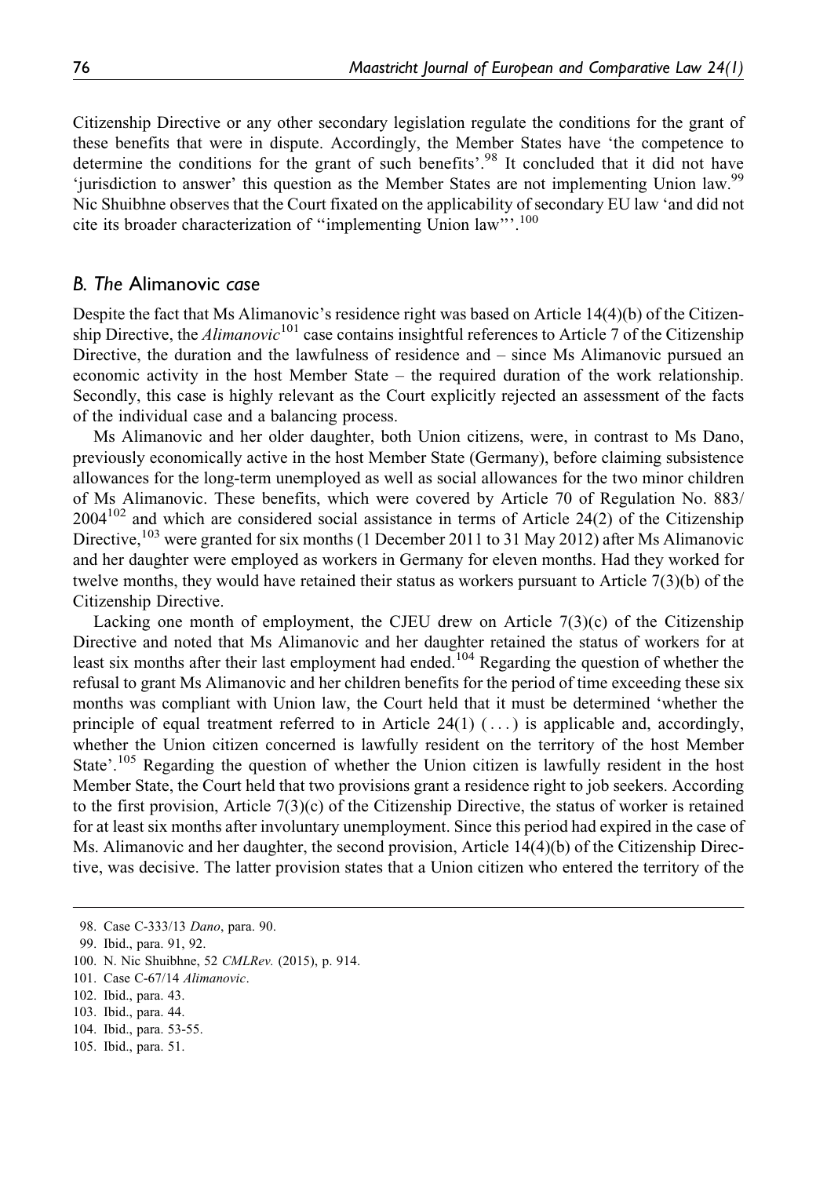Citizenship Directive or any other secondary legislation regulate the conditions for the grant of these benefits that were in dispute. Accordingly, the Member States have 'the competence to determine the conditions for the grant of such benefits'.<sup>98</sup> It concluded that it did not have 'urisdiction to answer' this question as the Member States are not implementing Union law.<sup>99</sup> Nic Shuibhne observes that the Court fixated on the applicability of secondary EU law 'and did not cite its broader characterization of ''implementing Union law'''.100

#### B. The Alimanovic case

Despite the fact that Ms Alimanovic's residence right was based on Article 14(4)(b) of the Citizenship Directive, the Alimanovic<sup>101</sup> case contains insightful references to Article 7 of the Citizenship Directive, the duration and the lawfulness of residence and – since Ms Alimanovic pursued an economic activity in the host Member State – the required duration of the work relationship. Secondly, this case is highly relevant as the Court explicitly rejected an assessment of the facts of the individual case and a balancing process.

Ms Alimanovic and her older daughter, both Union citizens, were, in contrast to Ms Dano, previously economically active in the host Member State (Germany), before claiming subsistence allowances for the long-term unemployed as well as social allowances for the two minor children of Ms Alimanovic. These benefits, which were covered by Article 70 of Regulation No. 883/  $2004^{102}$  and which are considered social assistance in terms of Article 24(2) of the Citizenship Directive,<sup>103</sup> were granted for six months (1 December 2011 to 31 May 2012) after Ms Alimanovic and her daughter were employed as workers in Germany for eleven months. Had they worked for twelve months, they would have retained their status as workers pursuant to Article 7(3)(b) of the Citizenship Directive.

Lacking one month of employment, the CJEU drew on Article  $7(3)(c)$  of the Citizenship Directive and noted that Ms Alimanovic and her daughter retained the status of workers for at least six months after their last employment had ended.<sup>104</sup> Regarding the question of whether the refusal to grant Ms Alimanovic and her children benefits for the period of time exceeding these six months was compliant with Union law, the Court held that it must be determined 'whether the principle of equal treatment referred to in Article 24(1)  $(\,\dots)$  is applicable and, accordingly, whether the Union citizen concerned is lawfully resident on the territory of the host Member State'.<sup>105</sup> Regarding the question of whether the Union citizen is lawfully resident in the host Member State, the Court held that two provisions grant a residence right to job seekers. According to the first provision, Article 7(3)(c) of the Citizenship Directive, the status of worker is retained for at least six months after involuntary unemployment. Since this period had expired in the case of Ms. Alimanovic and her daughter, the second provision, Article 14(4)(b) of the Citizenship Directive, was decisive. The latter provision states that a Union citizen who entered the territory of the

105. Ibid., para. 51.

<sup>98.</sup> Case C-333/13 Dano, para. 90.

<sup>99.</sup> Ibid., para. 91, 92.

<sup>100.</sup> N. Nic Shuibhne, 52 CMLRev. (2015), p. 914.

<sup>101.</sup> Case C-67/14 Alimanovic.

<sup>102.</sup> Ibid., para. 43.

<sup>103.</sup> Ibid., para. 44.

<sup>104.</sup> Ibid., para. 53-55.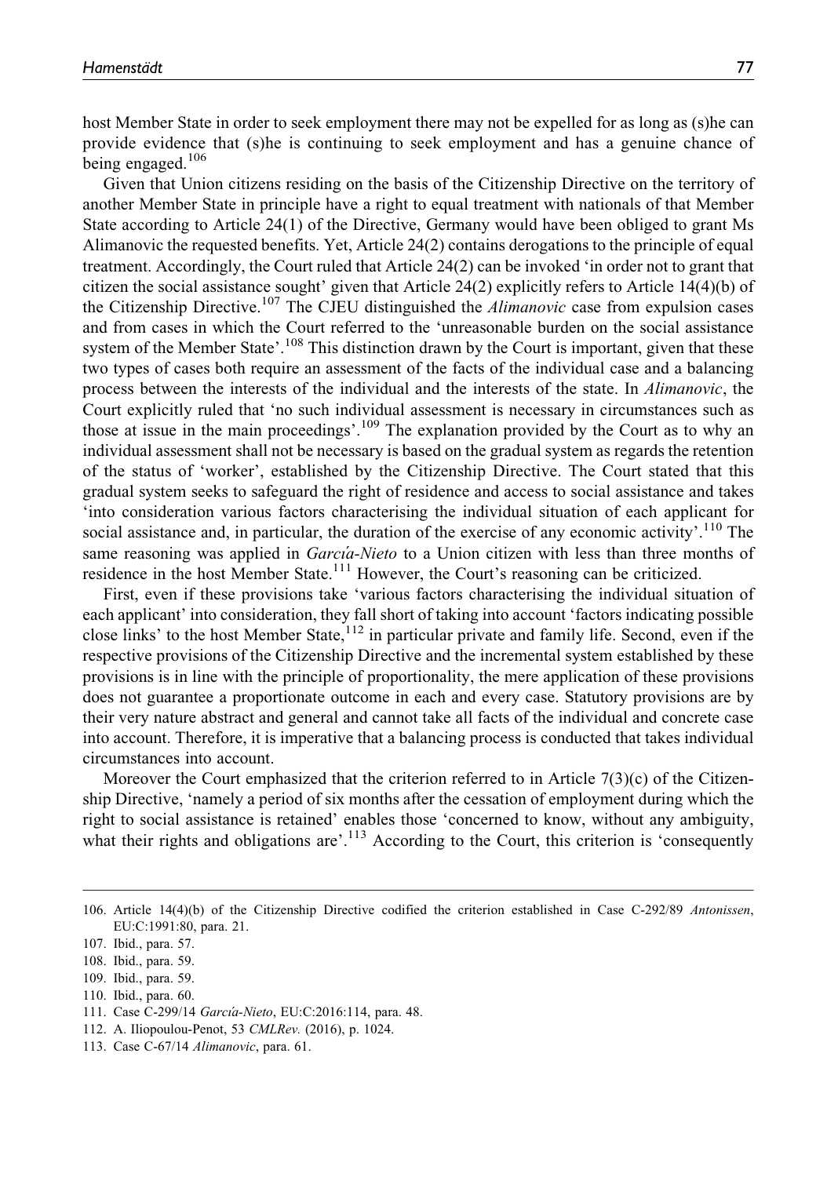host Member State in order to seek employment there may not be expelled for as long as (s)he can provide evidence that (s)he is continuing to seek employment and has a genuine chance of being engaged. $106$ 

Given that Union citizens residing on the basis of the Citizenship Directive on the territory of another Member State in principle have a right to equal treatment with nationals of that Member State according to Article 24(1) of the Directive, Germany would have been obliged to grant Ms Alimanovic the requested benefits. Yet, Article 24(2) contains derogations to the principle of equal treatment. Accordingly, the Court ruled that Article 24(2) can be invoked 'in order not to grant that citizen the social assistance sought' given that Article 24(2) explicitly refers to Article 14(4)(b) of the Citizenship Directive.<sup>107</sup> The CJEU distinguished the *Alimanovic* case from expulsion cases and from cases in which the Court referred to the 'unreasonable burden on the social assistance system of the Member State'.<sup>108</sup> This distinction drawn by the Court is important, given that these two types of cases both require an assessment of the facts of the individual case and a balancing process between the interests of the individual and the interests of the state. In Alimanovic, the Court explicitly ruled that 'no such individual assessment is necessary in circumstances such as those at issue in the main proceedings'.<sup>109</sup> The explanation provided by the Court as to why an individual assessment shall not be necessary is based on the gradual system as regards the retention of the status of 'worker', established by the Citizenship Directive. The Court stated that this gradual system seeks to safeguard the right of residence and access to social assistance and takes 'into consideration various factors characterising the individual situation of each applicant for social assistance and, in particular, the duration of the exercise of any economic activity'.<sup>110</sup> The same reasoning was applied in *García-Nieto* to a Union citizen with less than three months of residence in the host Member State.<sup>111</sup> However, the Court's reasoning can be criticized.

First, even if these provisions take 'various factors characterising the individual situation of each applicant' into consideration, they fall short of taking into account 'factors indicating possible close links' to the host Member State,<sup>112</sup> in particular private and family life. Second, even if the respective provisions of the Citizenship Directive and the incremental system established by these provisions is in line with the principle of proportionality, the mere application of these provisions does not guarantee a proportionate outcome in each and every case. Statutory provisions are by their very nature abstract and general and cannot take all facts of the individual and concrete case into account. Therefore, it is imperative that a balancing process is conducted that takes individual circumstances into account.

Moreover the Court emphasized that the criterion referred to in Article  $7(3)(c)$  of the Citizenship Directive, 'namely a period of six months after the cessation of employment during which the right to social assistance is retained' enables those 'concerned to know, without any ambiguity, what their rights and obligations are'.<sup>113</sup> According to the Court, this criterion is 'consequently

110. Ibid., para. 60.

113. Case C-67/14 Alimanovic, para. 61.

<sup>106.</sup> Article 14(4)(b) of the Citizenship Directive codified the criterion established in Case C-292/89 Antonissen, EU:C:1991:80, para. 21.

<sup>107.</sup> Ibid., para. 57.

<sup>108.</sup> Ibid., para. 59.

<sup>109.</sup> Ibid., para. 59.

<sup>111.</sup> Case C-299/14 Garcı´a-Nieto, EU:C:2016:114, para. 48.

<sup>112.</sup> A. Iliopoulou-Penot, 53 CMLRev. (2016), p. 1024.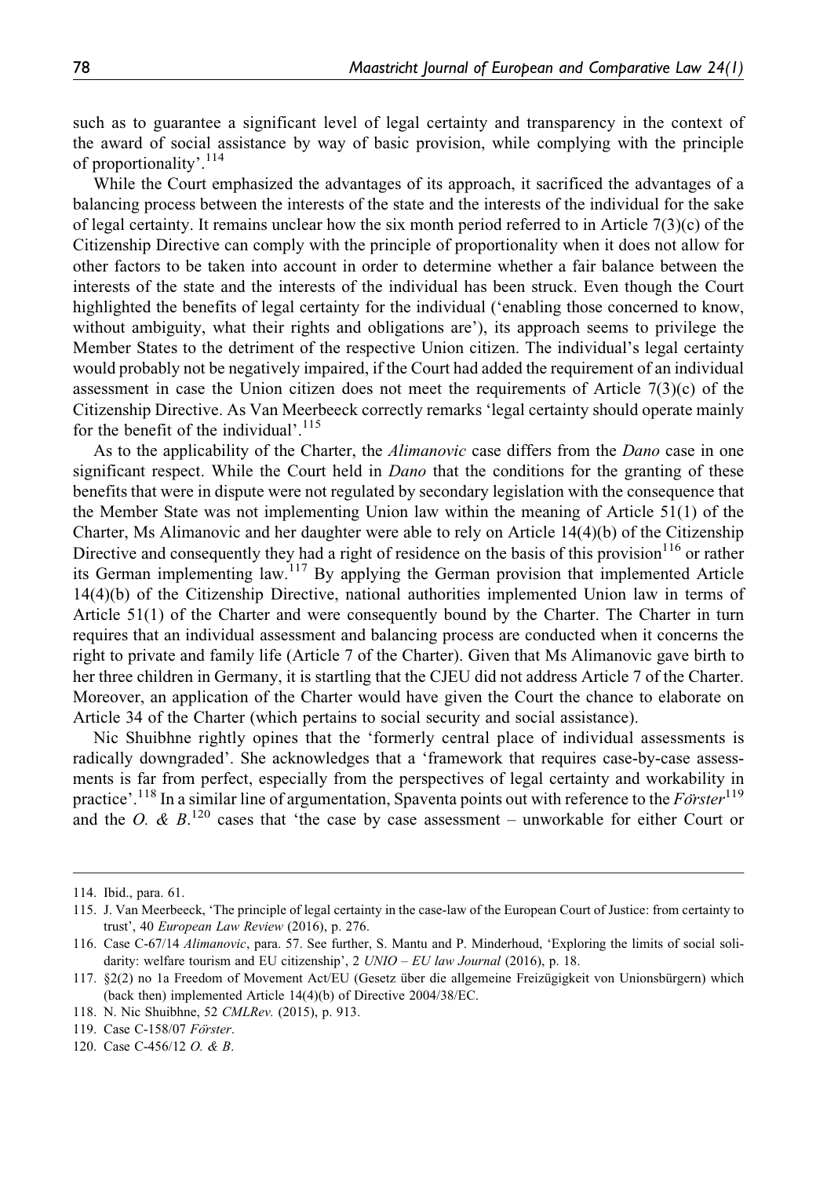such as to guarantee a significant level of legal certainty and transparency in the context of the award of social assistance by way of basic provision, while complying with the principle of proportionality'.<sup>114</sup>

While the Court emphasized the advantages of its approach, it sacrificed the advantages of a balancing process between the interests of the state and the interests of the individual for the sake of legal certainty. It remains unclear how the six month period referred to in Article  $7(3)(c)$  of the Citizenship Directive can comply with the principle of proportionality when it does not allow for other factors to be taken into account in order to determine whether a fair balance between the interests of the state and the interests of the individual has been struck. Even though the Court highlighted the benefits of legal certainty for the individual ('enabling those concerned to know, without ambiguity, what their rights and obligations are'), its approach seems to privilege the Member States to the detriment of the respective Union citizen. The individual's legal certainty would probably not be negatively impaired, if the Court had added the requirement of an individual assessment in case the Union citizen does not meet the requirements of Article 7(3)(c) of the Citizenship Directive. As Van Meerbeeck correctly remarks 'legal certainty should operate mainly for the benefit of the individual'.<sup>115</sup>

As to the applicability of the Charter, the *Alimanovic* case differs from the *Dano* case in one significant respect. While the Court held in *Dano* that the conditions for the granting of these benefits that were in dispute were not regulated by secondary legislation with the consequence that the Member State was not implementing Union law within the meaning of Article 51(1) of the Charter, Ms Alimanovic and her daughter were able to rely on Article 14(4)(b) of the Citizenship Directive and consequently they had a right of residence on the basis of this provision<sup>116</sup> or rather its German implementing law.117 By applying the German provision that implemented Article 14(4)(b) of the Citizenship Directive, national authorities implemented Union law in terms of Article 51(1) of the Charter and were consequently bound by the Charter. The Charter in turn requires that an individual assessment and balancing process are conducted when it concerns the right to private and family life (Article 7 of the Charter). Given that Ms Alimanovic gave birth to her three children in Germany, it is startling that the CJEU did not address Article 7 of the Charter. Moreover, an application of the Charter would have given the Court the chance to elaborate on Article 34 of the Charter (which pertains to social security and social assistance).

Nic Shuibhne rightly opines that the 'formerly central place of individual assessments is radically downgraded'. She acknowledges that a 'framework that requires case-by-case assessments is far from perfect, especially from the perspectives of legal certainty and workability in practice'.<sup>118</sup> In a similar line of argumentation, Spaventa points out with reference to the  $F\ddot{o}rster^{119}$ and the O. &  $B$ <sup>120</sup> cases that 'the case by case assessment – unworkable for either Court or

<sup>114.</sup> Ibid., para. 61.

<sup>115.</sup> J. Van Meerbeeck, 'The principle of legal certainty in the case-law of the European Court of Justice: from certainty to trust', 40 European Law Review (2016), p. 276.

<sup>116.</sup> Case C-67/14 Alimanovic, para. 57. See further, S. Mantu and P. Minderhoud, 'Exploring the limits of social solidarity: welfare tourism and EU citizenship', 2  $UNIO - EU$  law Journal (2016), p. 18.

<sup>117. §2(2)</sup> no 1a Freedom of Movement Act/EU (Gesetz über die allgemeine Freizügigkeit von Unionsbürgern) which (back then) implemented Article 14(4)(b) of Directive 2004/38/EC.

<sup>118.</sup> N. Nic Shuibhne, 52 CMLRev. (2015), p. 913.

<sup>119.</sup> Case C-158/07 Förster.

<sup>120.</sup> Case C-456/12 O. & B.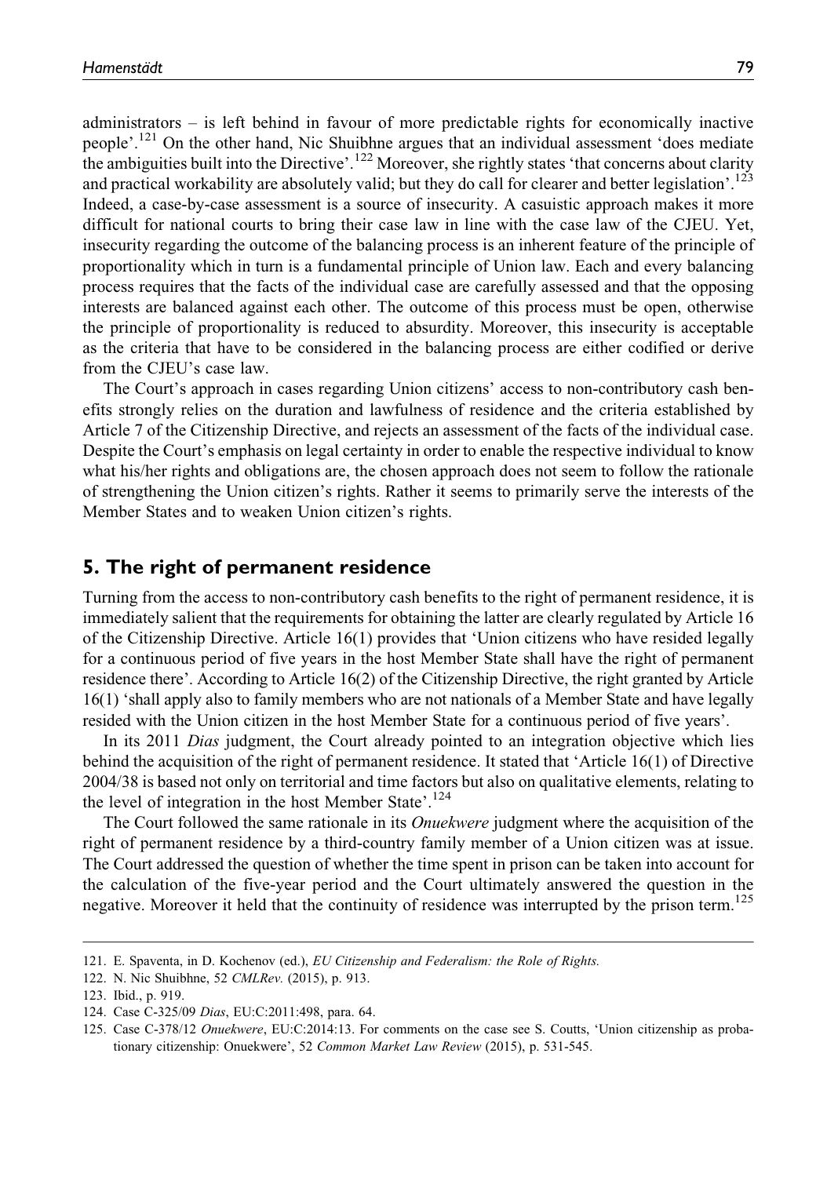administrators – is left behind in favour of more predictable rights for economically inactive people'.<sup>121</sup> On the other hand, Nic Shuibhne argues that an individual assessment 'does mediate the ambiguities built into the Directive'.<sup>122</sup> Moreover, she rightly states 'that concerns about clarity and practical workability are absolutely valid; but they do call for clearer and better legislation'.<sup>123</sup> Indeed, a case-by-case assessment is a source of insecurity. A casuistic approach makes it more difficult for national courts to bring their case law in line with the case law of the CJEU. Yet, insecurity regarding the outcome of the balancing process is an inherent feature of the principle of proportionality which in turn is a fundamental principle of Union law. Each and every balancing process requires that the facts of the individual case are carefully assessed and that the opposing interests are balanced against each other. The outcome of this process must be open, otherwise the principle of proportionality is reduced to absurdity. Moreover, this insecurity is acceptable as the criteria that have to be considered in the balancing process are either codified or derive from the CJEU's case law.

The Court's approach in cases regarding Union citizens' access to non-contributory cash benefits strongly relies on the duration and lawfulness of residence and the criteria established by Article 7 of the Citizenship Directive, and rejects an assessment of the facts of the individual case. Despite the Court's emphasis on legal certainty in order to enable the respective individual to know what his/her rights and obligations are, the chosen approach does not seem to follow the rationale of strengthening the Union citizen's rights. Rather it seems to primarily serve the interests of the Member States and to weaken Union citizen's rights.

#### 5. The right of permanent residence

Turning from the access to non-contributory cash benefits to the right of permanent residence, it is immediately salient that the requirements for obtaining the latter are clearly regulated by Article 16 of the Citizenship Directive. Article 16(1) provides that 'Union citizens who have resided legally for a continuous period of five years in the host Member State shall have the right of permanent residence there'. According to Article 16(2) of the Citizenship Directive, the right granted by Article 16(1) 'shall apply also to family members who are not nationals of a Member State and have legally resided with the Union citizen in the host Member State for a continuous period of five years'.

In its 2011 Dias judgment, the Court already pointed to an integration objective which lies behind the acquisition of the right of permanent residence. It stated that 'Article 16(1) of Directive 2004/38 is based not only on territorial and time factors but also on qualitative elements, relating to the level of integration in the host Member State'.<sup>124</sup>

The Court followed the same rationale in its *Onuekwere* judgment where the acquisition of the right of permanent residence by a third-country family member of a Union citizen was at issue. The Court addressed the question of whether the time spent in prison can be taken into account for the calculation of the five-year period and the Court ultimately answered the question in the negative. Moreover it held that the continuity of residence was interrupted by the prison term.<sup>125</sup>

<sup>121.</sup> E. Spaventa, in D. Kochenov (ed.), EU Citizenship and Federalism: the Role of Rights.

<sup>122.</sup> N. Nic Shuibhne, 52 CMLRev. (2015), p. 913.

<sup>123.</sup> Ibid., p. 919.

<sup>124.</sup> Case C-325/09 Dias, EU:C:2011:498, para. 64.

<sup>125.</sup> Case C-378/12 Onuekwere, EU:C:2014:13. For comments on the case see S. Coutts, 'Union citizenship as probationary citizenship: Onuekwere', 52 Common Market Law Review (2015), p. 531-545.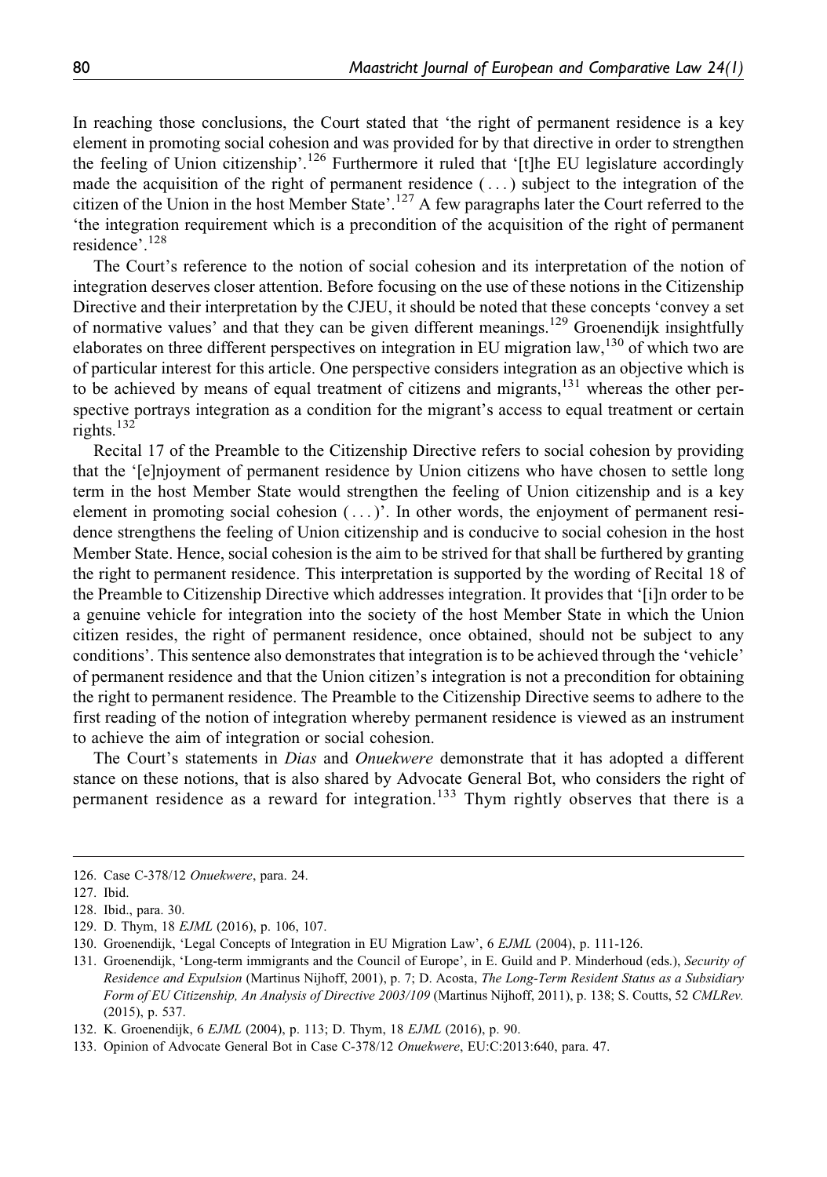In reaching those conclusions, the Court stated that 'the right of permanent residence is a key element in promoting social cohesion and was provided for by that directive in order to strengthen the feeling of Union citizenship'.<sup>126</sup> Furthermore it ruled that '[t]he EU legislature accordingly made the acquisition of the right of permanent residence  $(\ldots)$  subject to the integration of the citizen of the Union in the host Member State'.<sup>127</sup> A few paragraphs later the Court referred to the 'the integration requirement which is a precondition of the acquisition of the right of permanent residence'.<sup>128</sup>

The Court's reference to the notion of social cohesion and its interpretation of the notion of integration deserves closer attention. Before focusing on the use of these notions in the Citizenship Directive and their interpretation by the CJEU, it should be noted that these concepts 'convey a set of normative values' and that they can be given different meanings.<sup>129</sup> Groenendijk insightfully elaborates on three different perspectives on integration in EU migration law,<sup>130</sup> of which two are of particular interest for this article. One perspective considers integration as an objective which is to be achieved by means of equal treatment of citizens and migrants, $131$  whereas the other perspective portrays integration as a condition for the migrant's access to equal treatment or certain rights.<sup>132</sup>

Recital 17 of the Preamble to the Citizenship Directive refers to social cohesion by providing that the '[e]njoyment of permanent residence by Union citizens who have chosen to settle long term in the host Member State would strengthen the feeling of Union citizenship and is a key element in promoting social cohesion  $(\,\ldots)$ . In other words, the enjoyment of permanent residence strengthens the feeling of Union citizenship and is conducive to social cohesion in the host Member State. Hence, social cohesion is the aim to be strived for that shall be furthered by granting the right to permanent residence. This interpretation is supported by the wording of Recital 18 of the Preamble to Citizenship Directive which addresses integration. It provides that '[i]n order to be a genuine vehicle for integration into the society of the host Member State in which the Union citizen resides, the right of permanent residence, once obtained, should not be subject to any conditions'. This sentence also demonstrates that integration is to be achieved through the 'vehicle' of permanent residence and that the Union citizen's integration is not a precondition for obtaining the right to permanent residence. The Preamble to the Citizenship Directive seems to adhere to the first reading of the notion of integration whereby permanent residence is viewed as an instrument to achieve the aim of integration or social cohesion.

The Court's statements in *Dias* and *Onuekwere* demonstrate that it has adopted a different stance on these notions, that is also shared by Advocate General Bot, who considers the right of permanent residence as a reward for integration.<sup>133</sup> Thym rightly observes that there is a

<sup>126.</sup> Case C-378/12 Onuekwere, para. 24.

<sup>127.</sup> Ibid.

<sup>128.</sup> Ibid., para. 30.

<sup>129.</sup> D. Thym, 18 EJML (2016), p. 106, 107.

<sup>130.</sup> Groenendijk, 'Legal Concepts of Integration in EU Migration Law', 6 EJML (2004), p. 111-126.

<sup>131.</sup> Groenendijk, 'Long-term immigrants and the Council of Europe', in E. Guild and P. Minderhoud (eds.), Security of Residence and Expulsion (Martinus Nijhoff, 2001), p. 7; D. Acosta, The Long-Term Resident Status as a Subsidiary Form of EU Citizenship, An Analysis of Directive 2003/109 (Martinus Nijhoff, 2011), p. 138; S. Coutts, 52 CMLRev. (2015), p. 537.

<sup>132.</sup> K. Groenendijk, 6 EJML (2004), p. 113; D. Thym, 18 EJML (2016), p. 90.

<sup>133.</sup> Opinion of Advocate General Bot in Case C-378/12 Onuekwere, EU:C:2013:640, para. 47.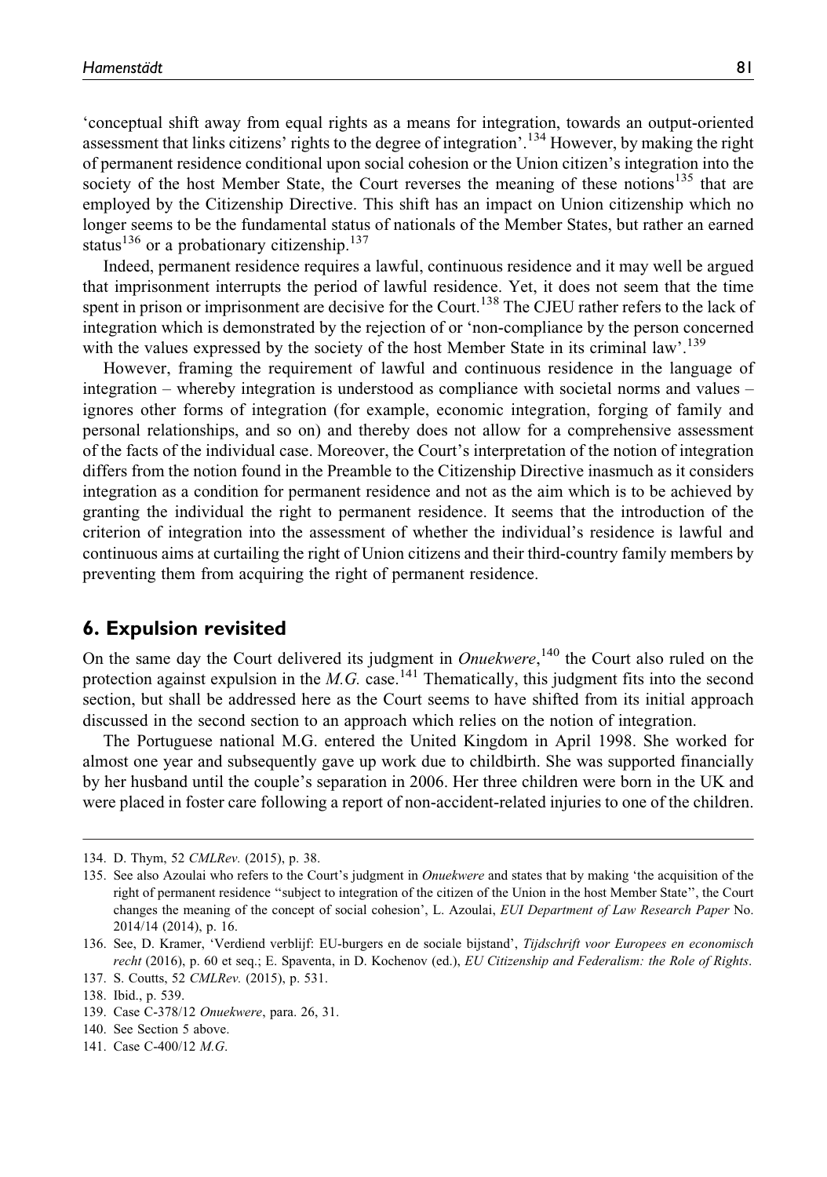'conceptual shift away from equal rights as a means for integration, towards an output-oriented assessment that links citizens' rights to the degree of integration'.<sup>134</sup> However, by making the right of permanent residence conditional upon social cohesion or the Union citizen's integration into the society of the host Member State, the Court reverses the meaning of these notions $135$  that are employed by the Citizenship Directive. This shift has an impact on Union citizenship which no longer seems to be the fundamental status of nationals of the Member States, but rather an earned status<sup>136</sup> or a probationary citizenship.<sup>137</sup>

Indeed, permanent residence requires a lawful, continuous residence and it may well be argued that imprisonment interrupts the period of lawful residence. Yet, it does not seem that the time spent in prison or imprisonment are decisive for the Court.<sup>138</sup> The CJEU rather refers to the lack of integration which is demonstrated by the rejection of or 'non-compliance by the person concerned with the values expressed by the society of the host Member State in its criminal law'.<sup>139</sup>

However, framing the requirement of lawful and continuous residence in the language of integration – whereby integration is understood as compliance with societal norms and values – ignores other forms of integration (for example, economic integration, forging of family and personal relationships, and so on) and thereby does not allow for a comprehensive assessment of the facts of the individual case. Moreover, the Court's interpretation of the notion of integration differs from the notion found in the Preamble to the Citizenship Directive inasmuch as it considers integration as a condition for permanent residence and not as the aim which is to be achieved by granting the individual the right to permanent residence. It seems that the introduction of the criterion of integration into the assessment of whether the individual's residence is lawful and continuous aims at curtailing the right of Union citizens and their third-country family members by preventing them from acquiring the right of permanent residence.

#### 6. Expulsion revisited

On the same day the Court delivered its judgment in *Onuekwere*,<sup>140</sup> the Court also ruled on the protection against expulsion in the M.G. case.<sup>141</sup> Thematically, this judgment fits into the second section, but shall be addressed here as the Court seems to have shifted from its initial approach discussed in the second section to an approach which relies on the notion of integration.

The Portuguese national M.G. entered the United Kingdom in April 1998. She worked for almost one year and subsequently gave up work due to childbirth. She was supported financially by her husband until the couple's separation in 2006. Her three children were born in the UK and were placed in foster care following a report of non-accident-related injuries to one of the children.

<sup>134.</sup> D. Thym, 52 CMLRev. (2015), p. 38.

<sup>135.</sup> See also Azoulai who refers to the Court's judgment in Onuekwere and states that by making 'the acquisition of the right of permanent residence ''subject to integration of the citizen of the Union in the host Member State'', the Court changes the meaning of the concept of social cohesion', L. Azoulai, EUI Department of Law Research Paper No. 2014/14 (2014), p. 16.

<sup>136.</sup> See, D. Kramer, 'Verdiend verblijf: EU-burgers en de sociale bijstand', Tijdschrift voor Europees en economisch recht (2016), p. 60 et seq.; E. Spaventa, in D. Kochenov (ed.), EU Citizenship and Federalism: the Role of Rights.

<sup>137.</sup> S. Coutts, 52 CMLRev. (2015), p. 531.

<sup>138.</sup> Ibid., p. 539.

<sup>139.</sup> Case C-378/12 Onuekwere, para. 26, 31.

<sup>140.</sup> See Section 5 above.

<sup>141.</sup> Case C-400/12 M.G.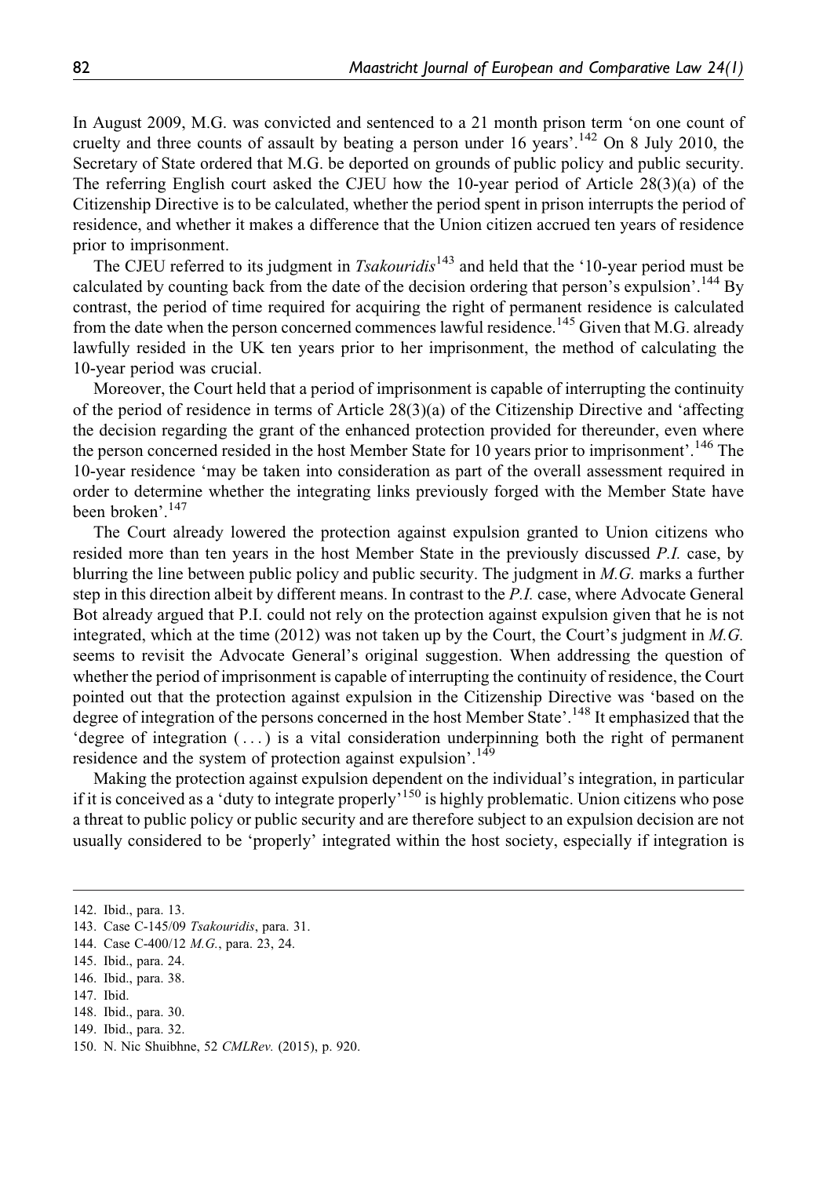In August 2009, M.G. was convicted and sentenced to a 21 month prison term 'on one count of cruelty and three counts of assault by beating a person under 16 years'.<sup>142</sup> On 8 July 2010, the Secretary of State ordered that M.G. be deported on grounds of public policy and public security. The referring English court asked the CJEU how the 10-year period of Article 28(3)(a) of the Citizenship Directive is to be calculated, whether the period spent in prison interrupts the period of residence, and whether it makes a difference that the Union citizen accrued ten years of residence prior to imprisonment.

The CJEU referred to its judgment in *Tsakouridis*<sup>143</sup> and held that the '10-year period must be calculated by counting back from the date of the decision ordering that person's expulsion'.<sup>144</sup> By contrast, the period of time required for acquiring the right of permanent residence is calculated from the date when the person concerned commences lawful residence.<sup>145</sup> Given that M.G. already lawfully resided in the UK ten years prior to her imprisonment, the method of calculating the 10-year period was crucial.

Moreover, the Court held that a period of imprisonment is capable of interrupting the continuity of the period of residence in terms of Article 28(3)(a) of the Citizenship Directive and 'affecting the decision regarding the grant of the enhanced protection provided for thereunder, even where the person concerned resided in the host Member State for 10 years prior to imprisonment'.<sup>146</sup> The 10-year residence 'may be taken into consideration as part of the overall assessment required in order to determine whether the integrating links previously forged with the Member State have been broken'.147

The Court already lowered the protection against expulsion granted to Union citizens who resided more than ten years in the host Member State in the previously discussed P.I. case, by blurring the line between public policy and public security. The judgment in M.G. marks a further step in this direction albeit by different means. In contrast to the P.I. case, where Advocate General Bot already argued that P.I. could not rely on the protection against expulsion given that he is not integrated, which at the time  $(2012)$  was not taken up by the Court, the Court's judgment in M.G. seems to revisit the Advocate General's original suggestion. When addressing the question of whether the period of imprisonment is capable of interrupting the continuity of residence, the Court pointed out that the protection against expulsion in the Citizenship Directive was 'based on the degree of integration of the persons concerned in the host Member State'.<sup>148</sup> It emphasized that the 'degree of integration ( ... ) is a vital consideration underpinning both the right of permanent residence and the system of protection against expulsion'.<sup>149</sup>

Making the protection against expulsion dependent on the individual's integration, in particular if it is conceived as a 'duty to integrate properly'150 is highly problematic. Union citizens who pose a threat to public policy or public security and are therefore subject to an expulsion decision are not usually considered to be 'properly' integrated within the host society, especially if integration is

<sup>142.</sup> Ibid., para. 13.

<sup>143.</sup> Case C-145/09 Tsakouridis, para. 31.

<sup>144.</sup> Case C-400/12 M.G., para. 23, 24.

<sup>145.</sup> Ibid., para. 24.

<sup>146.</sup> Ibid., para. 38.

<sup>147.</sup> Ibid.

<sup>148.</sup> Ibid., para. 30.

<sup>149.</sup> Ibid., para. 32.

<sup>150.</sup> N. Nic Shuibhne, 52 CMLRev. (2015), p. 920.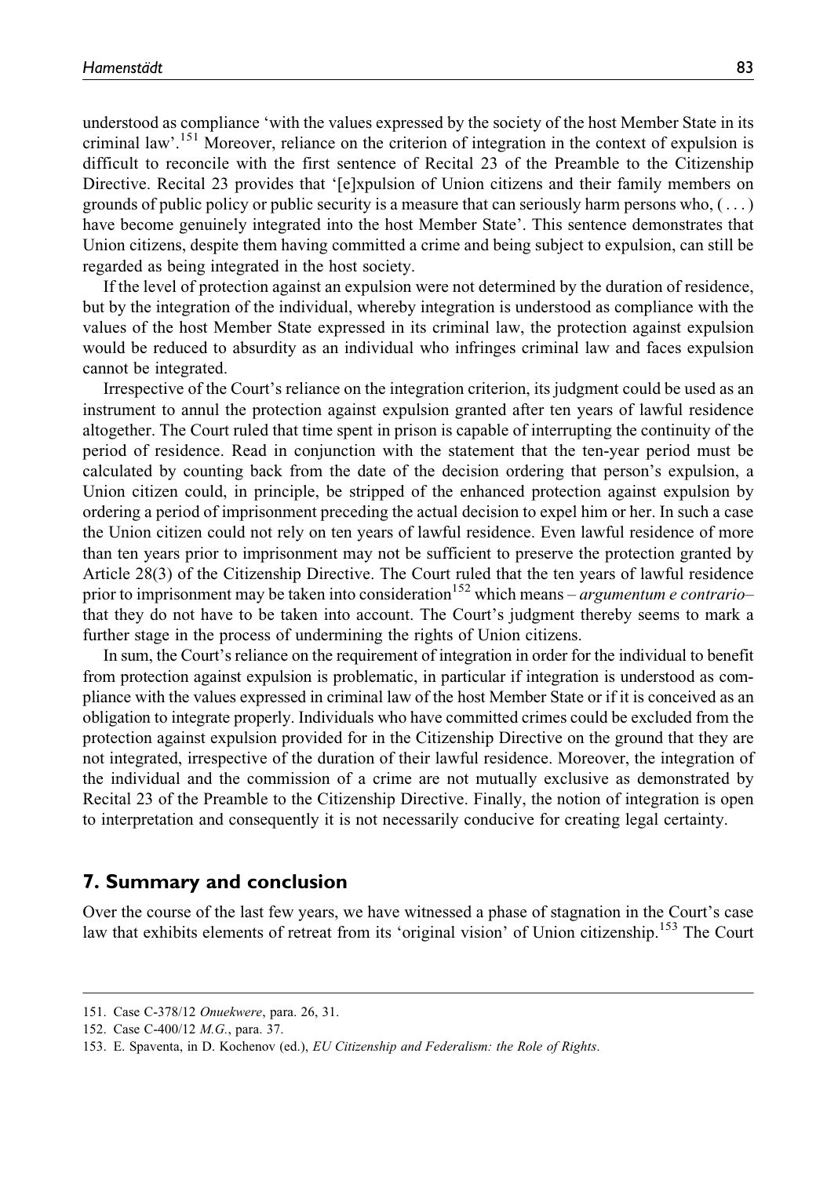understood as compliance 'with the values expressed by the society of the host Member State in its criminal law'.<sup>151</sup> Moreover, reliance on the criterion of integration in the context of expulsion is difficult to reconcile with the first sentence of Recital 23 of the Preamble to the Citizenship Directive. Recital 23 provides that '[e]xpulsion of Union citizens and their family members on grounds of public policy or public security is a measure that can seriously harm persons who,  $(\ldots)$ have become genuinely integrated into the host Member State'. This sentence demonstrates that Union citizens, despite them having committed a crime and being subject to expulsion, can still be regarded as being integrated in the host society.

If the level of protection against an expulsion were not determined by the duration of residence, but by the integration of the individual, whereby integration is understood as compliance with the values of the host Member State expressed in its criminal law, the protection against expulsion would be reduced to absurdity as an individual who infringes criminal law and faces expulsion cannot be integrated.

Irrespective of the Court's reliance on the integration criterion, its judgment could be used as an instrument to annul the protection against expulsion granted after ten years of lawful residence altogether. The Court ruled that time spent in prison is capable of interrupting the continuity of the period of residence. Read in conjunction with the statement that the ten-year period must be calculated by counting back from the date of the decision ordering that person's expulsion, a Union citizen could, in principle, be stripped of the enhanced protection against expulsion by ordering a period of imprisonment preceding the actual decision to expel him or her. In such a case the Union citizen could not rely on ten years of lawful residence. Even lawful residence of more than ten years prior to imprisonment may not be sufficient to preserve the protection granted by Article 28(3) of the Citizenship Directive. The Court ruled that the ten years of lawful residence prior to imprisonment may be taken into consideration<sup>152</sup> which means – *argumentum e contrario*– that they do not have to be taken into account. The Court's judgment thereby seems to mark a further stage in the process of undermining the rights of Union citizens.

In sum, the Court's reliance on the requirement of integration in order for the individual to benefit from protection against expulsion is problematic, in particular if integration is understood as compliance with the values expressed in criminal law of the host Member State or if it is conceived as an obligation to integrate properly. Individuals who have committed crimes could be excluded from the protection against expulsion provided for in the Citizenship Directive on the ground that they are not integrated, irrespective of the duration of their lawful residence. Moreover, the integration of the individual and the commission of a crime are not mutually exclusive as demonstrated by Recital 23 of the Preamble to the Citizenship Directive. Finally, the notion of integration is open to interpretation and consequently it is not necessarily conducive for creating legal certainty.

### 7. Summary and conclusion

Over the course of the last few years, we have witnessed a phase of stagnation in the Court's case law that exhibits elements of retreat from its 'original vision' of Union citizenship.<sup>153</sup> The Court

<sup>151.</sup> Case C-378/12 Onuekwere, para. 26, 31.

<sup>152.</sup> Case C-400/12 M.G., para. 37.

<sup>153.</sup> E. Spaventa, in D. Kochenov (ed.), EU Citizenship and Federalism: the Role of Rights.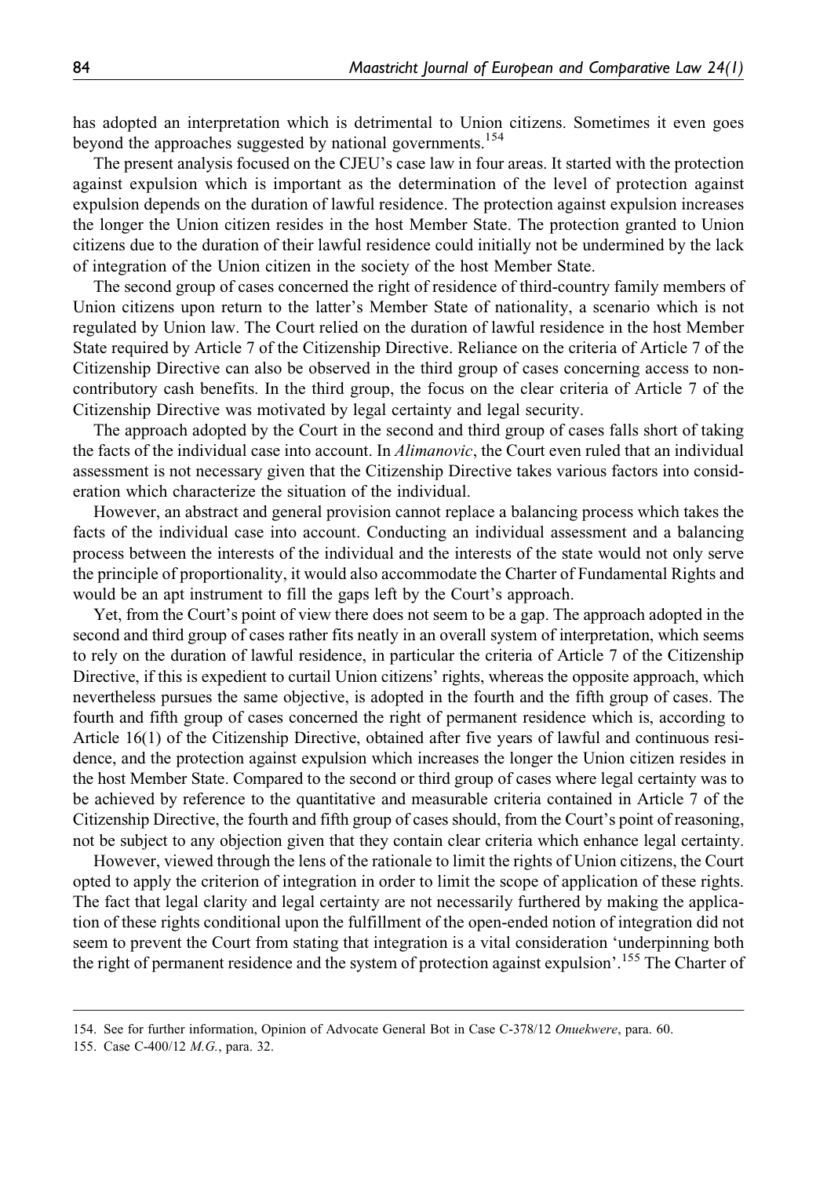has adopted an interpretation which is detrimental to Union citizens. Sometimes it even goes beyond the approaches suggested by national governments.<sup>154</sup>

The present analysis focused on the CJEU's case law in four areas. It started with the protection against expulsion which is important as the determination of the level of protection against expulsion depends on the duration of lawful residence. The protection against expulsion increases the longer the Union citizen resides in the host Member State. The protection granted to Union citizens due to the duration of their lawful residence could initially not be undermined by the lack of integration of the Union citizen in the society of the host Member State.

The second group of cases concerned the right of residence of third-country family members of Union citizens upon return to the latter's Member State of nationality, a scenario which is not regulated by Union law. The Court relied on the duration of lawful residence in the host Member State required by Article 7 of the Citizenship Directive. Reliance on the criteria of Article 7 of the Citizenship Directive can also be observed in the third group of cases concerning access to noncontributory cash benefits. In the third group, the focus on the clear criteria of Article 7 of the Citizenship Directive was motivated by legal certainty and legal security.

The approach adopted by the Court in the second and third group of cases falls short of taking the facts of the individual case into account. In *Alimanovic*, the Court even ruled that an individual assessment is not necessary given that the Citizenship Directive takes various factors into consideration which characterize the situation of the individual.

However, an abstract and general provision cannot replace a balancing process which takes the facts of the individual case into account. Conducting an individual assessment and a balancing process between the interests of the individual and the interests of the state would not only serve the principle of proportionality, it would also accommodate the Charter of Fundamental Rights and would be an apt instrument to fill the gaps left by the Court's approach.

Yet, from the Court's point of view there does not seem to be a gap. The approach adopted in the second and third group of cases rather fits neatly in an overall system of interpretation, which seems to rely on the duration of lawful residence, in particular the criteria of Article 7 of the Citizenship Directive, if this is expedient to curtail Union citizens' rights, whereas the opposite approach, which nevertheless pursues the same objective, is adopted in the fourth and the fifth group of cases. The fourth and fifth group of cases concerned the right of permanent residence which is, according to Article 16(1) of the Citizenship Directive, obtained after five years of lawful and continuous residence, and the protection against expulsion which increases the longer the Union citizen resides in the host Member State. Compared to the second or third group of cases where legal certainty was to be achieved by reference to the quantitative and measurable criteria contained in Article 7 of the Citizenship Directive, the fourth and fifth group of cases should, from the Court's point of reasoning, not be subject to any objection given that they contain clear criteria which enhance legal certainty.

However, viewed through the lens of the rationale to limit the rights of Union citizens, the Court opted to apply the criterion of integration in order to limit the scope of application of these rights. The fact that legal clarity and legal certainty are not necessarily furthered by making the application of these rights conditional upon the fulfillment of the open-ended notion of integration did not seem to prevent the Court from stating that integration is a vital consideration 'underpinning both the right of permanent residence and the system of protection against expulsion'.<sup>155</sup> The Charter of

<sup>154.</sup> See for further information, Opinion of Advocate General Bot in Case C-378/12 Onuekwere, para. 60.

<sup>155.</sup> Case C-400/12 M.G., para. 32.